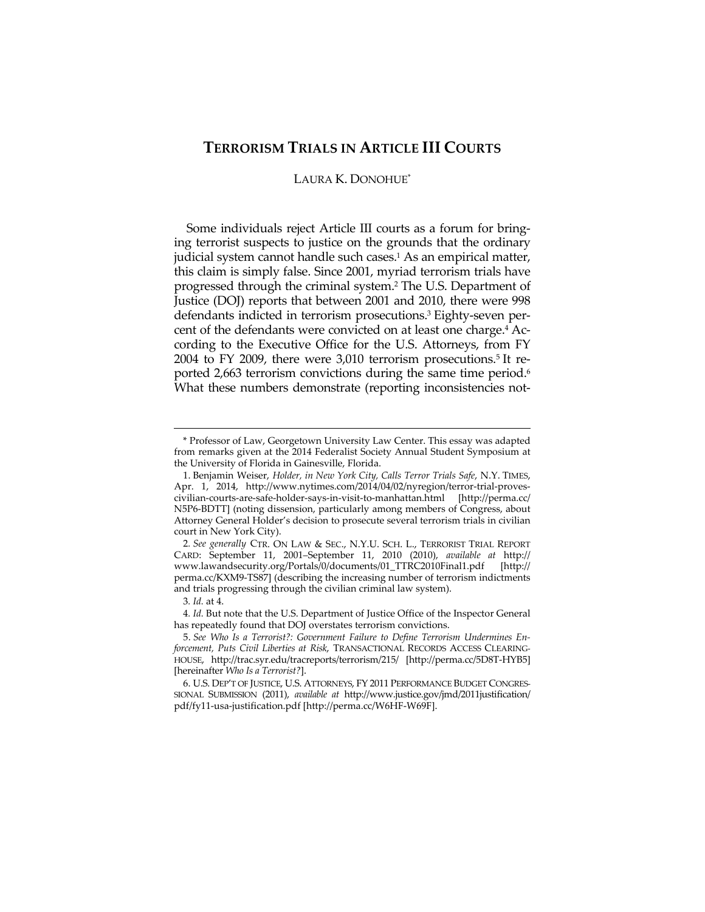# **TERRORISM TRIALS IN ARTICLE III COURTS**

# LAURA K. DONOHUE\*

Some individuals reject Article III courts as a forum for bringing terrorist suspects to justice on the grounds that the ordinary judicial system cannot handle such cases.<sup>1</sup> As an empirical matter, this claim is simply false. Since 2001, myriad terrorism trials have progressed through the criminal system.2 The U.S. Department of Justice (DOJ) reports that between 2001 and 2010, there were 998 defendants indicted in terrorism prosecutions.3 Eighty-seven percent of the defendants were convicted on at least one charge.4 According to the Executive Office for the U.S. Attorneys, from FY 2004 to FY 2009, there were 3,010 terrorism prosecutions.5 It reported 2,663 terrorism convictions during the same time period.<sup>6</sup> What these numbers demonstrate (reporting inconsistencies not-

<u> 1989 - Johann Barn, mars ar breithinn ar chuid ann an t-Alban ann an t-Alban ann an t-Alban ann an t-Alban a</u>

3*. Id.* at 4.

<sup>\*</sup> Professor of Law, Georgetown University Law Center. This essay was adapted from remarks given at the 2014 Federalist Society Annual Student Symposium at the University of Florida in Gainesville, Florida.

 <sup>1.</sup> Benjamin Weiser, *Holder, in New York City, Calls Terror Trials Safe*, N.Y. TIMES, Apr. 1, 2014, http://www.nytimes.com/2014/04/02/nyregion/terror-trial-provescivilian-courts-are-safe-holder-says-in-visit-to-manhattan.html [http://perma.cc/ N5P6-BDTT] (noting dissension, particularly among members of Congress, about Attorney General Holder's decision to prosecute several terrorism trials in civilian court in New York City).

<sup>2</sup>*. See generally* CTR. ON LAW & SEC., N.Y.U. SCH. L., TERRORIST TRIAL REPORT CARD: September 11, 2001–September 11, 2010 (2010), *available at* http:// www.lawandsecurity.org/Portals/0/documents/01\_TTRC2010Final1.pdf [http:// perma.cc/KXM9-TS87] (describing the increasing number of terrorism indictments and trials progressing through the civilian criminal law system).

<sup>4</sup>*. Id.* But note that the U.S. Department of Justice Office of the Inspector General has repeatedly found that DOJ overstates terrorism convictions.

 <sup>5.</sup> *See Who Is a Terrorist?: Government Failure to Define Terrorism Undermines Enforcement, Puts Civil Liberties at Risk*, TRANSACTIONAL RECORDS ACCESS CLEARING-HOUSE, http://trac.syr.edu/tracreports/terrorism/215/ [http://perma.cc/5D8T-HYB5] [hereinafter *Who Is a Terrorist?*].

 <sup>6.</sup> U.S. DEP'T OF JUSTICE, U.S. ATTORNEYS, FY 2011 PERFORMANCE BUDGET CONGRES-SIONAL SUBMISSION (2011), *available at* http://www.justice.gov/jmd/2011justification/ pdf/fy11-usa-justification.pdf [http://perma.cc/W6HF-W69F].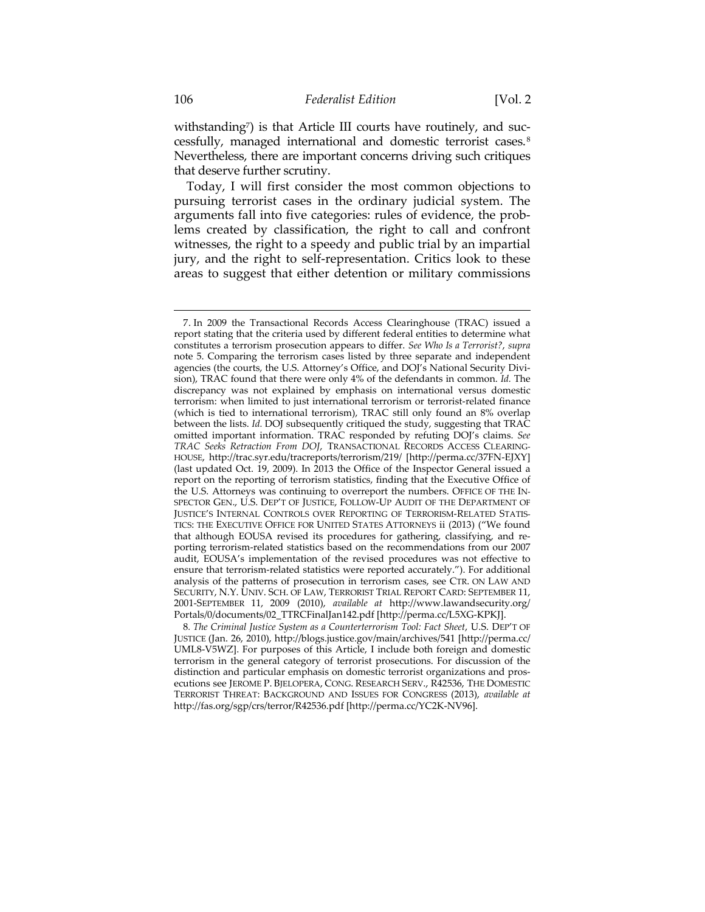withstanding<sup>7</sup>) is that Article III courts have routinely, and successfully, managed international and domestic terrorist cases.8 Nevertheless, there are important concerns driving such critiques that deserve further scrutiny.

Today, I will first consider the most common objections to pursuing terrorist cases in the ordinary judicial system. The arguments fall into five categories: rules of evidence, the problems created by classification, the right to call and confront witnesses, the right to a speedy and public trial by an impartial jury, and the right to self-representation. Critics look to these areas to suggest that either detention or military commissions

 <sup>7.</sup> In 2009 the Transactional Records Access Clearinghouse (TRAC) issued a report stating that the criteria used by different federal entities to determine what constitutes a terrorism prosecution appears to differ. *See Who Is a Terrorist?*, *supra* note 5. Comparing the terrorism cases listed by three separate and independent agencies (the courts, the U.S. Attorney's Office, and DOJ's National Security Division), TRAC found that there were only 4% of the defendants in common. *Id.* The discrepancy was not explained by emphasis on international versus domestic terrorism: when limited to just international terrorism or terrorist-related finance (which is tied to international terrorism), TRAC still only found an 8% overlap between the lists. *Id.* DOJ subsequently critiqued the study, suggesting that TRAC omitted important information. TRAC responded by refuting DOJ's claims. *See TRAC Seeks Retraction From DOJ*, TRANSACTIONAL RECORDS ACCESS CLEARING-HOUSE, http://trac.syr.edu/tracreports/terrorism/219/ [http://perma.cc/37FN-EJXY] (last updated Oct. 19, 2009). In 2013 the Office of the Inspector General issued a report on the reporting of terrorism statistics, finding that the Executive Office of the U.S. Attorneys was continuing to overreport the numbers. OFFICE OF THE IN-SPECTOR GEN., U.S. DEP'T OF JUSTICE, FOLLOW-UP AUDIT OF THE DEPARTMENT OF JUSTICE'S INTERNAL CONTROLS OVER REPORTING OF TERRORISM-RELATED STATIS-TICS: THE EXECUTIVE OFFICE FOR UNITED STATES ATTORNEYS ii (2013) ("We found that although EOUSA revised its procedures for gathering, classifying, and reporting terrorism-related statistics based on the recommendations from our 2007 audit, EOUSA's implementation of the revised procedures was not effective to ensure that terrorism-related statistics were reported accurately."). For additional analysis of the patterns of prosecution in terrorism cases, see CTR. ON LAW AND SECURITY, N.Y. UNIV. SCH. OF LAW, TERRORIST TRIAL REPORT CARD: SEPTEMBER 11, 2001-SEPTEMBER 11, 2009 (2010), *available at* http://www.lawandsecurity.org/ Portals/0/documents/02\_TTRCFinalJan142.pdf [http://perma.cc/L5XG-KPKJ].

<sup>8</sup>*. The Criminal Justice System as a Counterterrorism Tool: Fact Sheet*, U.S. DEP'T OF JUSTICE (Jan. 26, 2010), http://blogs.justice.gov/main/archives/541 [http://perma.cc/ UML8-V5WZ]. For purposes of this Article, I include both foreign and domestic terrorism in the general category of terrorist prosecutions. For discussion of the distinction and particular emphasis on domestic terrorist organizations and prosecutions see JEROME P. BJELOPERA, CONG. RESEARCH SERV., R42536, THE DOMESTIC TERRORIST THREAT: BACKGROUND AND ISSUES FOR CONGRESS (2013), *available at* http://fas.org/sgp/crs/terror/R42536.pdf [http://perma.cc/YC2K-NV96].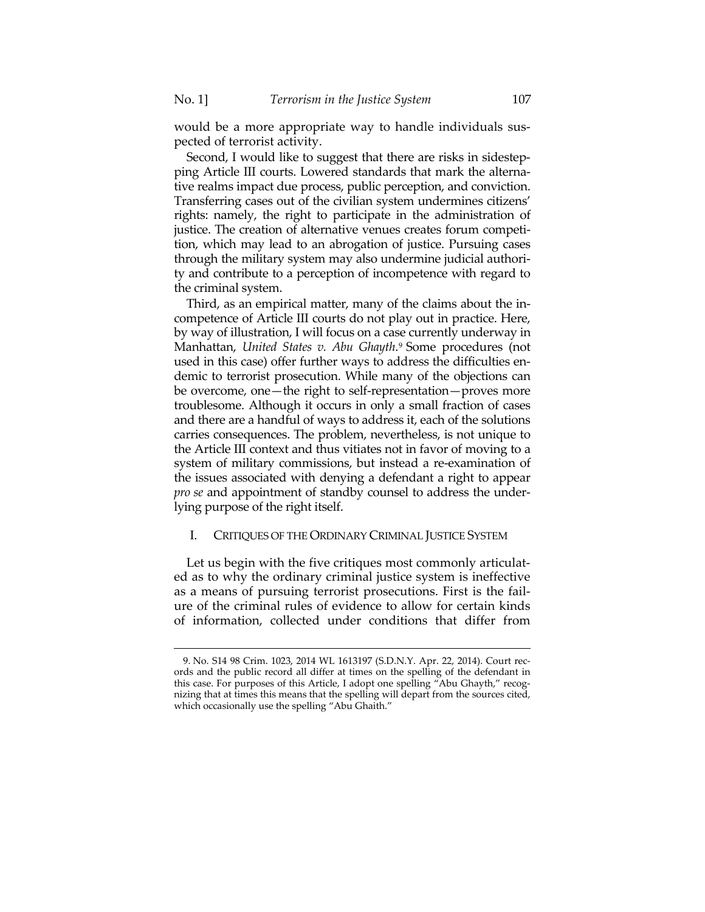would be a more appropriate way to handle individuals suspected of terrorist activity.

Second, I would like to suggest that there are risks in sidestepping Article III courts. Lowered standards that mark the alternative realms impact due process, public perception, and conviction. Transferring cases out of the civilian system undermines citizens' rights: namely, the right to participate in the administration of justice. The creation of alternative venues creates forum competition, which may lead to an abrogation of justice. Pursuing cases through the military system may also undermine judicial authority and contribute to a perception of incompetence with regard to the criminal system.

Third, as an empirical matter, many of the claims about the incompetence of Article III courts do not play out in practice. Here, by way of illustration, I will focus on a case currently underway in Manhattan, *United States v. Abu Ghayth*.9 Some procedures (not used in this case) offer further ways to address the difficulties endemic to terrorist prosecution. While many of the objections can be overcome, one—the right to self-representation—proves more troublesome. Although it occurs in only a small fraction of cases and there are a handful of ways to address it, each of the solutions carries consequences. The problem, nevertheless, is not unique to the Article III context and thus vitiates not in favor of moving to a system of military commissions, but instead a re-examination of the issues associated with denying a defendant a right to appear *pro se* and appointment of standby counsel to address the underlying purpose of the right itself.

#### I. CRITIQUES OF THE ORDINARY CRIMINAL JUSTICE SYSTEM

Let us begin with the five critiques most commonly articulated as to why the ordinary criminal justice system is ineffective as a means of pursuing terrorist prosecutions. First is the failure of the criminal rules of evidence to allow for certain kinds of information, collected under conditions that differ from

 <sup>9.</sup> No. S14 98 Crim. 1023, 2014 WL 1613197 (S.D.N.Y. Apr. 22, 2014). Court records and the public record all differ at times on the spelling of the defendant in this case. For purposes of this Article, I adopt one spelling "Abu Ghayth," recognizing that at times this means that the spelling will depart from the sources cited, which occasionally use the spelling "Abu Ghaith."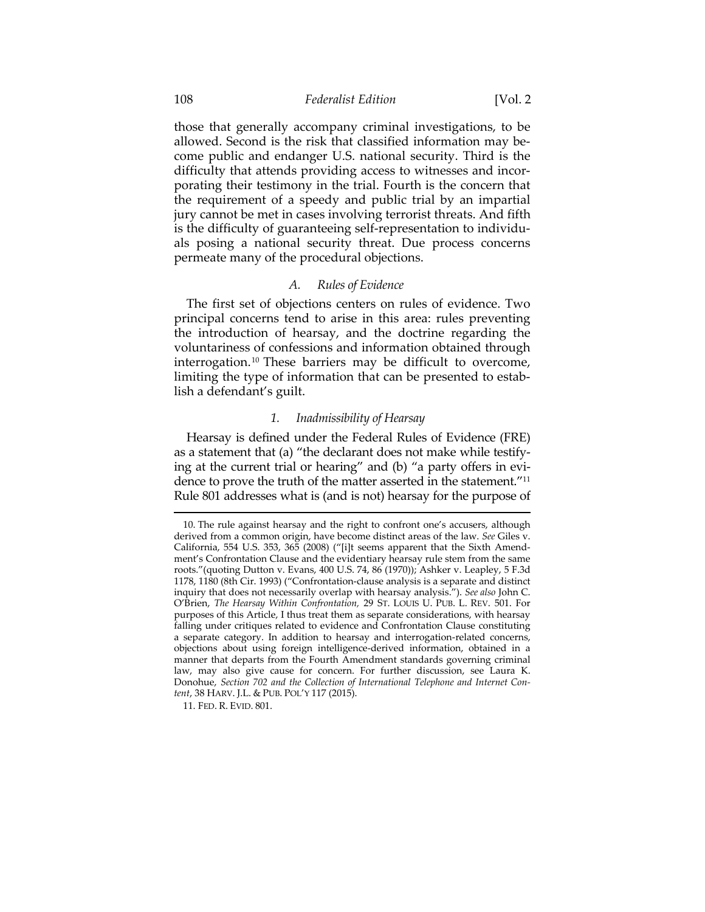#### 108 *Federalist Edition* [Vol. 2

those that generally accompany criminal investigations, to be allowed. Second is the risk that classified information may become public and endanger U.S. national security. Third is the difficulty that attends providing access to witnesses and incorporating their testimony in the trial. Fourth is the concern that the requirement of a speedy and public trial by an impartial jury cannot be met in cases involving terrorist threats. And fifth is the difficulty of guaranteeing self-representation to individuals posing a national security threat. Due process concerns permeate many of the procedural objections.

## *A. Rules of Evidence*

The first set of objections centers on rules of evidence. Two principal concerns tend to arise in this area: rules preventing the introduction of hearsay, and the doctrine regarding the voluntariness of confessions and information obtained through interrogation.<sup>10</sup> These barriers may be difficult to overcome, limiting the type of information that can be presented to establish a defendant's guilt.

# *1. Inadmissibility of Hearsay*

Hearsay is defined under the Federal Rules of Evidence (FRE) as a statement that (a) "the declarant does not make while testifying at the current trial or hearing" and (b) "a party offers in evidence to prove the truth of the matter asserted in the statement."11 Rule 801 addresses what is (and is not) hearsay for the purpose of

 <sup>10.</sup> The rule against hearsay and the right to confront one's accusers, although derived from a common origin, have become distinct areas of the law. *See* Giles v. California, 554 U.S. 353, 365 (2008) ("[i]t seems apparent that the Sixth Amendment's Confrontation Clause and the evidentiary hearsay rule stem from the same roots."(quoting Dutton v. Evans, 400 U.S. 74, 86 (1970)); Ashker v. Leapley, 5 F.3d 1178, 1180 (8th Cir. 1993) ("Confrontation-clause analysis is a separate and distinct inquiry that does not necessarily overlap with hearsay analysis."). *See also* John C. O'Brien, *The Hearsay Within Confrontation,* 29 ST. LOUIS U. PUB. L. REV. 501. For purposes of this Article, I thus treat them as separate considerations, with hearsay falling under critiques related to evidence and Confrontation Clause constituting a separate category. In addition to hearsay and interrogation-related concerns, objections about using foreign intelligence-derived information, obtained in a manner that departs from the Fourth Amendment standards governing criminal law, may also give cause for concern. For further discussion, see Laura K. Donohue, *Section 702 and the Collection of International Telephone and Internet Content*, 38 HARV. J.L. & PUB. POL'Y 117 (2015).

 <sup>11.</sup> FED. R. EVID. 801.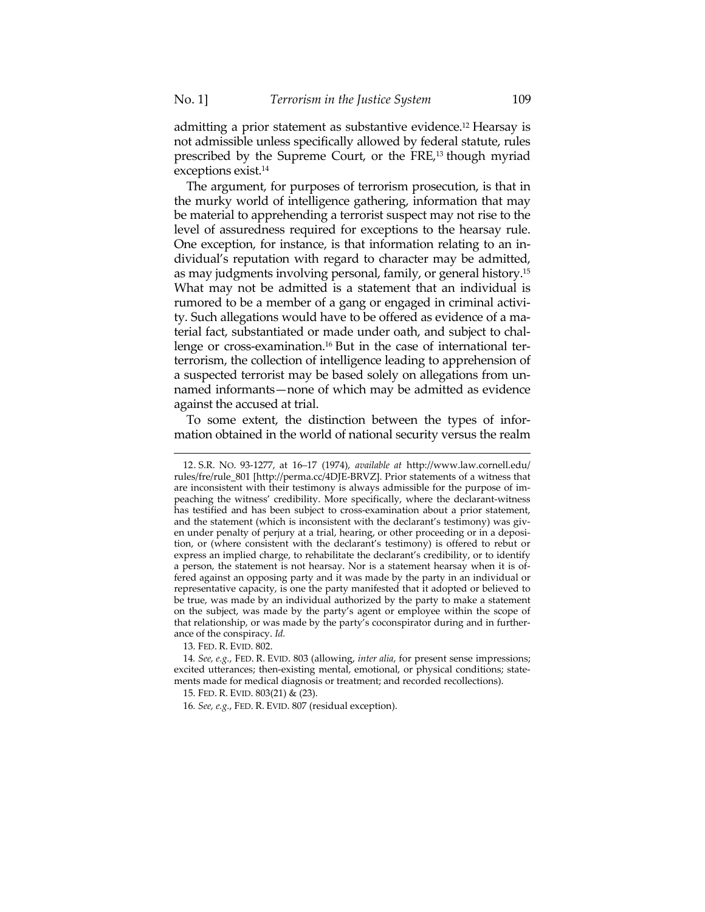admitting a prior statement as substantive evidence.12 Hearsay is not admissible unless specifically allowed by federal statute, rules prescribed by the Supreme Court, or the FRE,13 though myriad exceptions exist.14

The argument, for purposes of terrorism prosecution, is that in the murky world of intelligence gathering, information that may be material to apprehending a terrorist suspect may not rise to the level of assuredness required for exceptions to the hearsay rule. One exception, for instance, is that information relating to an individual's reputation with regard to character may be admitted, as may judgments involving personal, family, or general history.15 What may not be admitted is a statement that an individual is rumored to be a member of a gang or engaged in criminal activity. Such allegations would have to be offered as evidence of a material fact, substantiated or made under oath, and subject to challenge or cross-examination.16 But in the case of international terterrorism, the collection of intelligence leading to apprehension of a suspected terrorist may be based solely on allegations from unnamed informants—none of which may be admitted as evidence against the accused at trial.

To some extent, the distinction between the types of information obtained in the world of national security versus the realm

 <sup>12.</sup> S.R. NO. 93-1277, at 16–17 (1974), *available at* http://www.law.cornell.edu/ rules/fre/rule\_801 [http://perma.cc/4DJE-BRVZ]. Prior statements of a witness that are inconsistent with their testimony is always admissible for the purpose of impeaching the witness' credibility. More specifically, where the declarant-witness has testified and has been subject to cross-examination about a prior statement, and the statement (which is inconsistent with the declarant's testimony) was given under penalty of perjury at a trial, hearing, or other proceeding or in a deposition, or (where consistent with the declarant's testimony) is offered to rebut or express an implied charge, to rehabilitate the declarant's credibility, or to identify a person, the statement is not hearsay. Nor is a statement hearsay when it is offered against an opposing party and it was made by the party in an individual or representative capacity, is one the party manifested that it adopted or believed to be true, was made by an individual authorized by the party to make a statement on the subject, was made by the party's agent or employee within the scope of that relationship, or was made by the party's coconspirator during and in furtherance of the conspiracy. *Id.*

 <sup>13.</sup> FED. R. EVID. 802.

<sup>14</sup>*. See, e.g.*, FED. R. EVID. 803 (allowing, *inter alia*, for present sense impressions; excited utterances; then-existing mental, emotional, or physical conditions; statements made for medical diagnosis or treatment; and recorded recollections).

 <sup>15.</sup> FED. R. EVID. 803(21) & (23).

<sup>16</sup>*. See, e.g.*, FED. R. EVID. 807 (residual exception).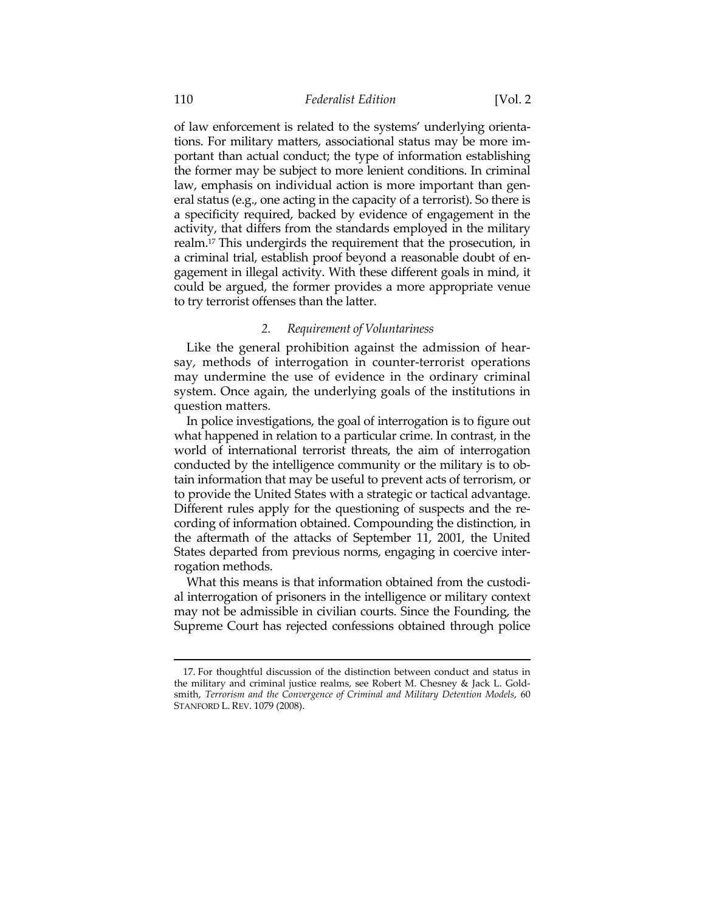of law enforcement is related to the systems' underlying orientations. For military matters, associational status may be more important than actual conduct; the type of information establishing the former may be subject to more lenient conditions. In criminal law, emphasis on individual action is more important than general status (e.g., one acting in the capacity of a terrorist). So there is a specificity required, backed by evidence of engagement in the activity, that differs from the standards employed in the military realm.17 This undergirds the requirement that the prosecution, in a criminal trial, establish proof beyond a reasonable doubt of engagement in illegal activity. With these different goals in mind, it could be argued, the former provides a more appropriate venue to try terrorist offenses than the latter.

# *2. Requirement of Voluntariness*

Like the general prohibition against the admission of hearsay, methods of interrogation in counter-terrorist operations may undermine the use of evidence in the ordinary criminal system. Once again, the underlying goals of the institutions in question matters.

In police investigations, the goal of interrogation is to figure out what happened in relation to a particular crime. In contrast, in the world of international terrorist threats, the aim of interrogation conducted by the intelligence community or the military is to obtain information that may be useful to prevent acts of terrorism, or to provide the United States with a strategic or tactical advantage. Different rules apply for the questioning of suspects and the recording of information obtained. Compounding the distinction, in the aftermath of the attacks of September 11, 2001, the United States departed from previous norms, engaging in coercive interrogation methods.

What this means is that information obtained from the custodial interrogation of prisoners in the intelligence or military context may not be admissible in civilian courts. Since the Founding, the Supreme Court has rejected confessions obtained through police

 <sup>17.</sup> For thoughtful discussion of the distinction between conduct and status in the military and criminal justice realms, see Robert M. Chesney & Jack L. Goldsmith, *Terrorism and the Convergence of Criminal and Military Detention Models*, 60 STANFORD L. REV. 1079 (2008).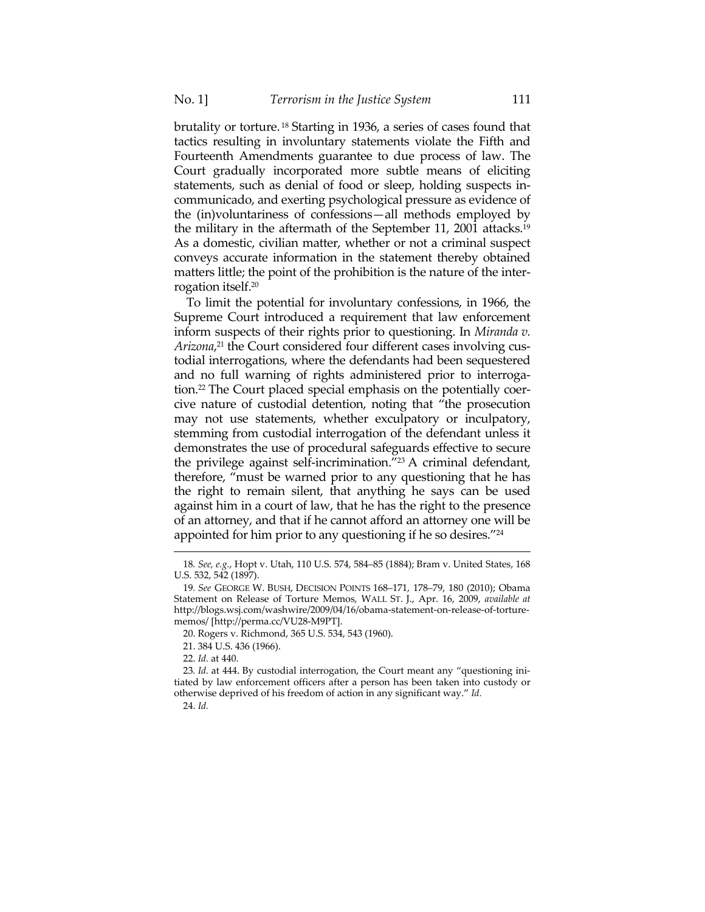brutality or torture. 18 Starting in 1936, a series of cases found that tactics resulting in involuntary statements violate the Fifth and Fourteenth Amendments guarantee to due process of law. The Court gradually incorporated more subtle means of eliciting statements, such as denial of food or sleep, holding suspects incommunicado, and exerting psychological pressure as evidence of the (in)voluntariness of confessions—all methods employed by the military in the aftermath of the September 11, 2001 attacks.19 As a domestic, civilian matter, whether or not a criminal suspect conveys accurate information in the statement thereby obtained matters little; the point of the prohibition is the nature of the interrogation itself.20

To limit the potential for involuntary confessions, in 1966, the Supreme Court introduced a requirement that law enforcement inform suspects of their rights prior to questioning. In *Miranda v. Arizona*, 21 the Court considered four different cases involving custodial interrogations, where the defendants had been sequestered and no full warning of rights administered prior to interrogation.22 The Court placed special emphasis on the potentially coercive nature of custodial detention, noting that "the prosecution may not use statements, whether exculpatory or inculpatory, stemming from custodial interrogation of the defendant unless it demonstrates the use of procedural safeguards effective to secure the privilege against self-incrimination."23 A criminal defendant, therefore, "must be warned prior to any questioning that he has the right to remain silent, that anything he says can be used against him in a court of law, that he has the right to the presence of an attorney, and that if he cannot afford an attorney one will be appointed for him prior to any questioning if he so desires."24

21. 384 U.S. 436 (1966).

<sup>&</sup>lt;u> 1989 - Johann Barn, mars ar breithinn ar chuid ann an t-Alban ann an t-Alban ann an t-Alban ann an t-Alban a</u> 18*. See, e.g.*, Hopt v. Utah, 110 U.S. 574, 584–85 (1884); Bram v. United States, 168 U.S. 532, 542 (1897).

<sup>19</sup>*. See* GEORGE W. BUSH, DECISION POINTS 168–171, 178–79, 180 (2010); Obama Statement on Release of Torture Memos, WALL ST. J., Apr. 16, 2009, *available at* http://blogs.wsj.com/washwire/2009/04/16/obama-statement-on-release-of-torturememos/ [http://perma.cc/VU28-M9PT].

 <sup>20.</sup> Rogers v. Richmond, 365 U.S. 534, 543 (1960).

 <sup>22.</sup> *Id.* at 440.

<sup>23</sup>*. Id.* at 444. By custodial interrogation, the Court meant any "questioning initiated by law enforcement officers after a person has been taken into custody or otherwise deprived of his freedom of action in any significant way." *Id.*

 <sup>24.</sup> *Id.*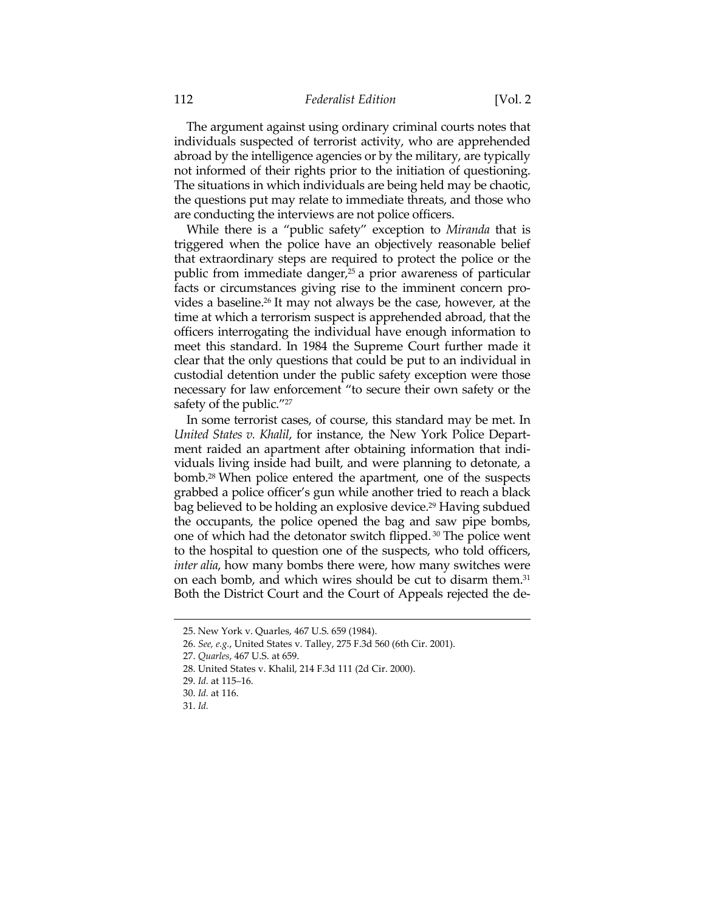The argument against using ordinary criminal courts notes that individuals suspected of terrorist activity, who are apprehended abroad by the intelligence agencies or by the military, are typically not informed of their rights prior to the initiation of questioning. The situations in which individuals are being held may be chaotic, the questions put may relate to immediate threats, and those who are conducting the interviews are not police officers.

While there is a "public safety" exception to *Miranda* that is triggered when the police have an objectively reasonable belief that extraordinary steps are required to protect the police or the public from immediate danger,<sup>25</sup> a prior awareness of particular facts or circumstances giving rise to the imminent concern provides a baseline.26 It may not always be the case, however, at the time at which a terrorism suspect is apprehended abroad, that the officers interrogating the individual have enough information to meet this standard. In 1984 the Supreme Court further made it clear that the only questions that could be put to an individual in custodial detention under the public safety exception were those necessary for law enforcement "to secure their own safety or the safety of the public."27

In some terrorist cases, of course, this standard may be met. In *United States v. Khalil*, for instance, the New York Police Department raided an apartment after obtaining information that individuals living inside had built, and were planning to detonate, a bomb.28 When police entered the apartment, one of the suspects grabbed a police officer's gun while another tried to reach a black bag believed to be holding an explosive device.<sup>29</sup> Having subdued the occupants, the police opened the bag and saw pipe bombs, one of which had the detonator switch flipped. 30 The police went to the hospital to question one of the suspects, who told officers, *inter alia*, how many bombs there were, how many switches were on each bomb, and which wires should be cut to disarm them.<sup>31</sup> Both the District Court and the Court of Appeals rejected the de-

 <sup>25.</sup> New York v. Quarles, 467 U.S. 659 (1984).

 <sup>26.</sup> *See, e.g.*, United States v. Talley, 275 F.3d 560 (6th Cir. 2001).

 <sup>27.</sup> *Quarles*, 467 U.S. at 659.

 <sup>28.</sup> United States v. Khalil, 214 F.3d 111 (2d Cir. 2000).

 <sup>29.</sup> *Id.* at 115–16.

 <sup>30.</sup> *Id.* at 116.

 <sup>31.</sup> *Id.*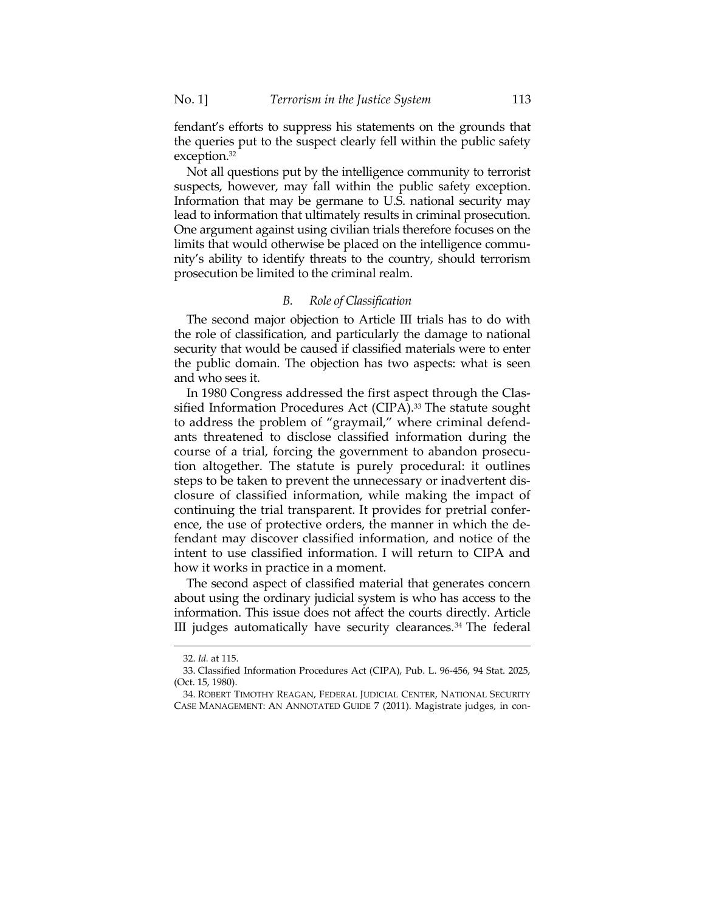fendant's efforts to suppress his statements on the grounds that the queries put to the suspect clearly fell within the public safety exception.32

Not all questions put by the intelligence community to terrorist suspects, however, may fall within the public safety exception. Information that may be germane to U.S. national security may lead to information that ultimately results in criminal prosecution. One argument against using civilian trials therefore focuses on the limits that would otherwise be placed on the intelligence community's ability to identify threats to the country, should terrorism prosecution be limited to the criminal realm.

#### *B. Role of Classification*

The second major objection to Article III trials has to do with the role of classification, and particularly the damage to national security that would be caused if classified materials were to enter the public domain. The objection has two aspects: what is seen and who sees it.

In 1980 Congress addressed the first aspect through the Classified Information Procedures Act (CIPA).<sup>33</sup> The statute sought to address the problem of "graymail," where criminal defendants threatened to disclose classified information during the course of a trial, forcing the government to abandon prosecution altogether. The statute is purely procedural: it outlines steps to be taken to prevent the unnecessary or inadvertent disclosure of classified information, while making the impact of continuing the trial transparent. It provides for pretrial conference, the use of protective orders, the manner in which the defendant may discover classified information, and notice of the intent to use classified information. I will return to CIPA and how it works in practice in a moment.

The second aspect of classified material that generates concern about using the ordinary judicial system is who has access to the information. This issue does not affect the courts directly. Article III judges automatically have security clearances.34 The federal

 <sup>32.</sup> *Id.* at 115.

 <sup>33.</sup> Classified Information Procedures Act (CIPA), Pub. L. 96-456, 94 Stat. 2025, (Oct. 15, 1980).

 <sup>34.</sup> ROBERT TIMOTHY REAGAN, FEDERAL JUDICIAL CENTER, NATIONAL SECURITY CASE MANAGEMENT: AN ANNOTATED GUIDE 7 (2011). Magistrate judges, in con-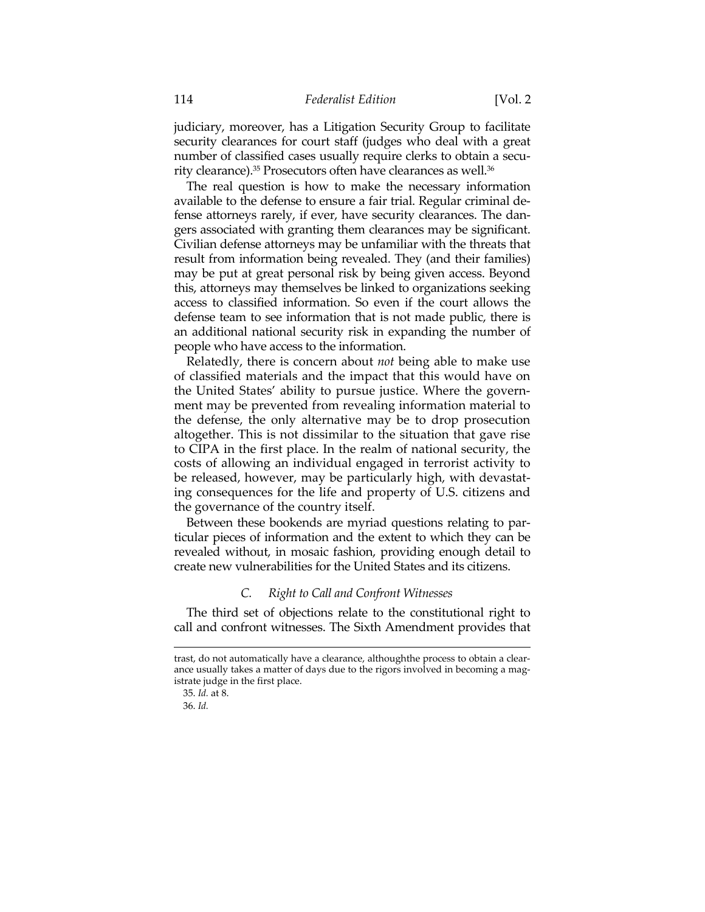judiciary, moreover, has a Litigation Security Group to facilitate security clearances for court staff (judges who deal with a great number of classified cases usually require clerks to obtain a security clearance).<sup>35</sup> Prosecutors often have clearances as well.<sup>36</sup>

The real question is how to make the necessary information available to the defense to ensure a fair trial. Regular criminal defense attorneys rarely, if ever, have security clearances. The dangers associated with granting them clearances may be significant. Civilian defense attorneys may be unfamiliar with the threats that result from information being revealed. They (and their families) may be put at great personal risk by being given access. Beyond this, attorneys may themselves be linked to organizations seeking access to classified information. So even if the court allows the defense team to see information that is not made public, there is an additional national security risk in expanding the number of people who have access to the information.

Relatedly, there is concern about *not* being able to make use of classified materials and the impact that this would have on the United States' ability to pursue justice. Where the government may be prevented from revealing information material to the defense, the only alternative may be to drop prosecution altogether. This is not dissimilar to the situation that gave rise to CIPA in the first place. In the realm of national security, the costs of allowing an individual engaged in terrorist activity to be released, however, may be particularly high, with devastating consequences for the life and property of U.S. citizens and the governance of the country itself.

Between these bookends are myriad questions relating to particular pieces of information and the extent to which they can be revealed without, in mosaic fashion, providing enough detail to create new vulnerabilities for the United States and its citizens.

# *C. Right to Call and Confront Witnesses*

The third set of objections relate to the constitutional right to call and confront witnesses. The Sixth Amendment provides that

trast, do not automatically have a clearance, althoughthe process to obtain a clearance usually takes a matter of days due to the rigors involved in becoming a magistrate judge in the first place.

 <sup>35.</sup> *Id.* at 8.

 <sup>36.</sup> *Id.*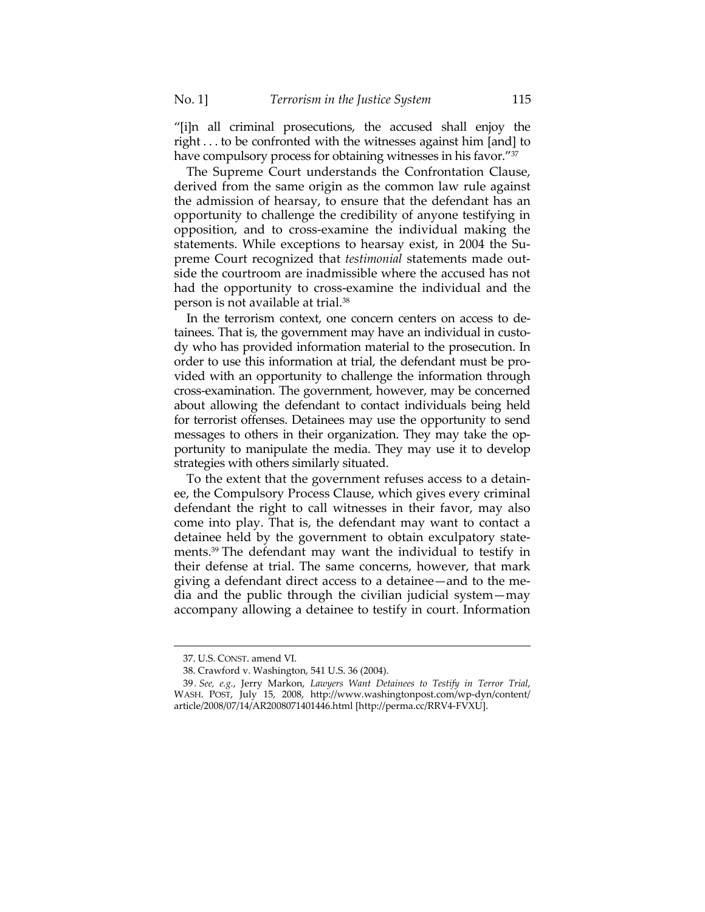"[i]n all criminal prosecutions, the accused shall enjoy the right . . . to be confronted with the witnesses against him [and] to have compulsory process for obtaining witnesses in his favor."37

The Supreme Court understands the Confrontation Clause, derived from the same origin as the common law rule against the admission of hearsay, to ensure that the defendant has an opportunity to challenge the credibility of anyone testifying in opposition, and to cross-examine the individual making the statements. While exceptions to hearsay exist, in 2004 the Supreme Court recognized that *testimonial* statements made outside the courtroom are inadmissible where the accused has not had the opportunity to cross-examine the individual and the person is not available at trial.38

In the terrorism context, one concern centers on access to detainees. That is, the government may have an individual in custody who has provided information material to the prosecution. In order to use this information at trial, the defendant must be provided with an opportunity to challenge the information through cross-examination. The government, however, may be concerned about allowing the defendant to contact individuals being held for terrorist offenses. Detainees may use the opportunity to send messages to others in their organization. They may take the opportunity to manipulate the media. They may use it to develop strategies with others similarly situated.

To the extent that the government refuses access to a detainee, the Compulsory Process Clause, which gives every criminal defendant the right to call witnesses in their favor, may also come into play. That is, the defendant may want to contact a detainee held by the government to obtain exculpatory statements.39 The defendant may want the individual to testify in their defense at trial. The same concerns, however, that mark giving a defendant direct access to a detainee—and to the media and the public through the civilian judicial system—may accompany allowing a detainee to testify in court. Information

 <sup>37.</sup> U.S. CONST. amend VI.

 <sup>38.</sup> Crawford v. Washington, 541 U.S. 36 (2004).

<sup>39</sup>*. See, e.g.*, Jerry Markon, *Lawyers Want Detainees to Testify in Terror Trial*, WASH. POST, July 15, 2008, http://www.washingtonpost.com/wp-dyn/content/ article/2008/07/14/AR2008071401446.html [http://perma.cc/RRV4-FVXU].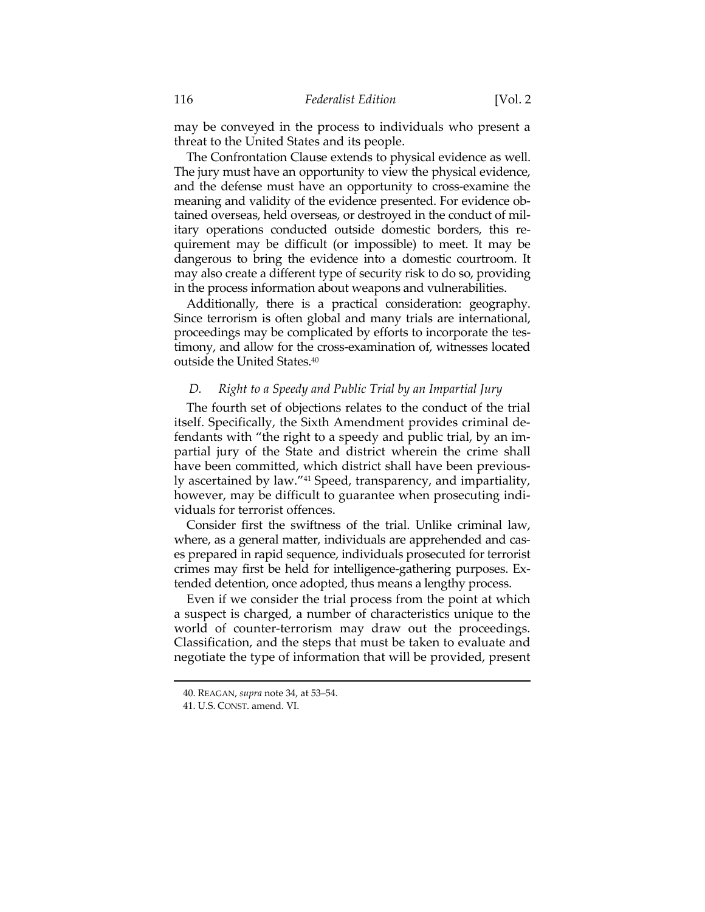may be conveyed in the process to individuals who present a threat to the United States and its people.

The Confrontation Clause extends to physical evidence as well. The jury must have an opportunity to view the physical evidence, and the defense must have an opportunity to cross-examine the meaning and validity of the evidence presented. For evidence obtained overseas, held overseas, or destroyed in the conduct of military operations conducted outside domestic borders, this requirement may be difficult (or impossible) to meet. It may be dangerous to bring the evidence into a domestic courtroom. It may also create a different type of security risk to do so, providing in the process information about weapons and vulnerabilities.

Additionally, there is a practical consideration: geography. Since terrorism is often global and many trials are international, proceedings may be complicated by efforts to incorporate the testimony, and allow for the cross-examination of, witnesses located outside the United States.40

#### *D. Right to a Speedy and Public Trial by an Impartial Jury*

The fourth set of objections relates to the conduct of the trial itself. Specifically, the Sixth Amendment provides criminal defendants with "the right to a speedy and public trial, by an impartial jury of the State and district wherein the crime shall have been committed, which district shall have been previously ascertained by law."41 Speed, transparency, and impartiality, however, may be difficult to guarantee when prosecuting individuals for terrorist offences.

Consider first the swiftness of the trial. Unlike criminal law, where, as a general matter, individuals are apprehended and cases prepared in rapid sequence, individuals prosecuted for terrorist crimes may first be held for intelligence-gathering purposes. Extended detention, once adopted, thus means a lengthy process.

Even if we consider the trial process from the point at which a suspect is charged, a number of characteristics unique to the world of counter-terrorism may draw out the proceedings. Classification, and the steps that must be taken to evaluate and negotiate the type of information that will be provided, present

 <sup>40.</sup> REAGAN, *supra* note 34, at 53–54.

 <sup>41.</sup> U.S. CONST. amend. VI.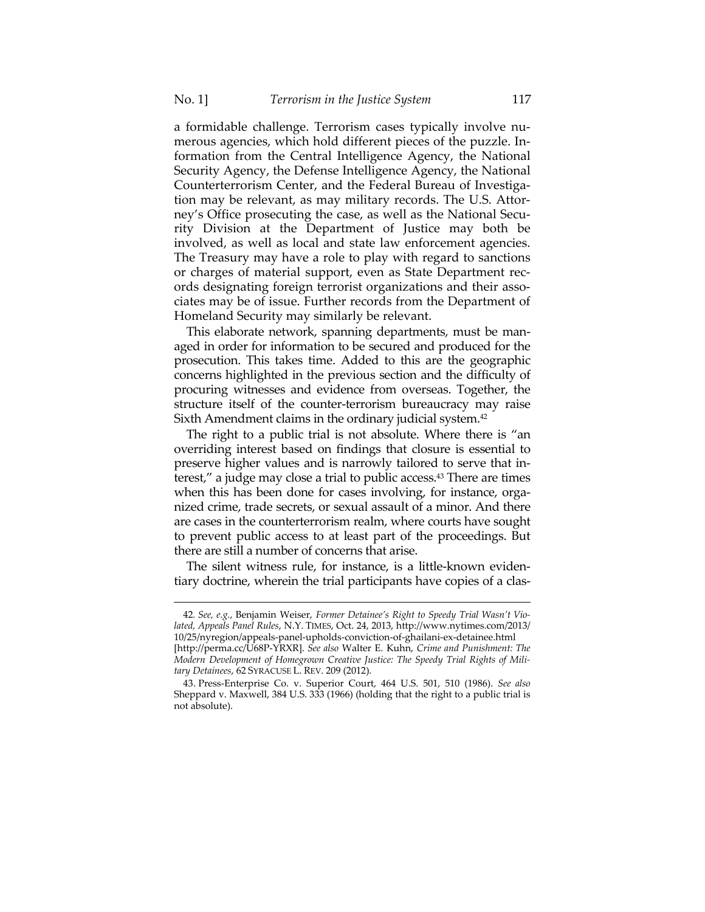a formidable challenge. Terrorism cases typically involve numerous agencies, which hold different pieces of the puzzle. Information from the Central Intelligence Agency, the National Security Agency, the Defense Intelligence Agency, the National Counterterrorism Center, and the Federal Bureau of Investigation may be relevant, as may military records. The U.S. Attorney's Office prosecuting the case, as well as the National Security Division at the Department of Justice may both be involved, as well as local and state law enforcement agencies. The Treasury may have a role to play with regard to sanctions or charges of material support, even as State Department records designating foreign terrorist organizations and their associates may be of issue. Further records from the Department of Homeland Security may similarly be relevant.

This elaborate network, spanning departments, must be managed in order for information to be secured and produced for the prosecution. This takes time. Added to this are the geographic concerns highlighted in the previous section and the difficulty of procuring witnesses and evidence from overseas. Together, the structure itself of the counter-terrorism bureaucracy may raise Sixth Amendment claims in the ordinary judicial system.<sup>42</sup>

The right to a public trial is not absolute. Where there is "an overriding interest based on findings that closure is essential to preserve higher values and is narrowly tailored to serve that interest," a judge may close a trial to public access.43 There are times when this has been done for cases involving, for instance, organized crime, trade secrets, or sexual assault of a minor. And there are cases in the counterterrorism realm, where courts have sought to prevent public access to at least part of the proceedings. But there are still a number of concerns that arise.

The silent witness rule, for instance, is a little-known evidentiary doctrine, wherein the trial participants have copies of a clas-

<sup>42</sup>*. See, e.g.*, Benjamin Weiser, *Former Detainee's Right to Speedy Trial Wasn't Violated, Appeals Panel Rules*, N.Y. TIMES, Oct. 24, 2013, http://www.nytimes.com/2013/ 10/25/nyregion/appeals-panel-upholds-conviction-of-ghailani-ex-detainee.html

<sup>[</sup>http://perma.cc/U68P-YRXR]. *See also* Walter E. Kuhn, *Crime and Punishment: The Modern Development of Homegrown Creative Justice: The Speedy Trial Rights of Military Detainees*, 62 SYRACUSE L. REV. 209 (2012).

 <sup>43.</sup> Press-Enterprise Co. v. Superior Court, 464 U.S. 501, 510 (1986). *See also* Sheppard v. Maxwell, 384 U.S. 333 (1966) (holding that the right to a public trial is not absolute).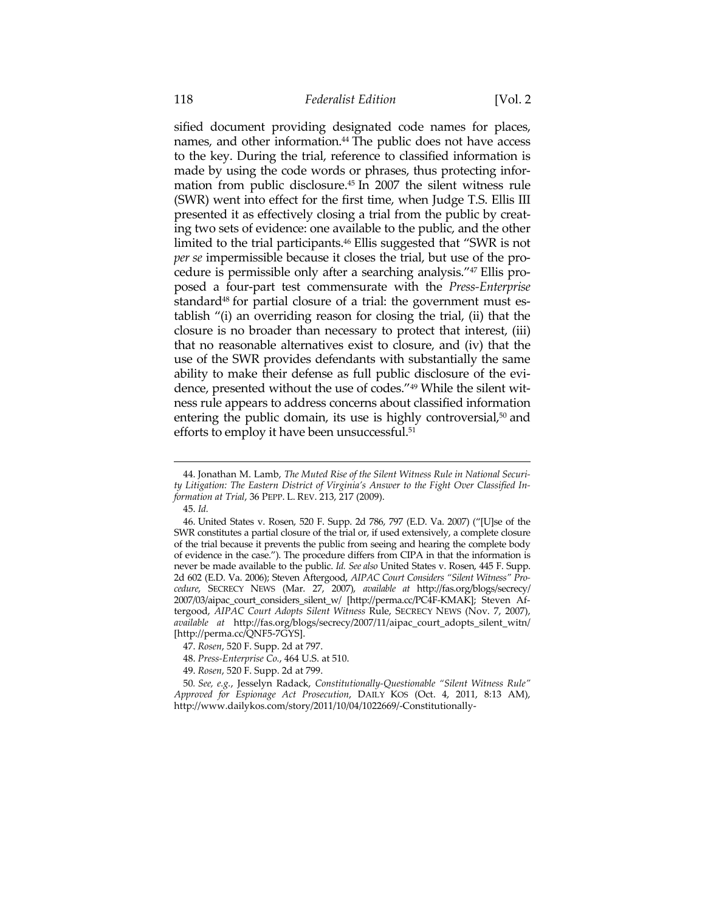sified document providing designated code names for places, names, and other information.<sup>44</sup> The public does not have access to the key. During the trial, reference to classified information is made by using the code words or phrases, thus protecting information from public disclosure.45 In 2007 the silent witness rule (SWR) went into effect for the first time, when Judge T.S. Ellis III presented it as effectively closing a trial from the public by creating two sets of evidence: one available to the public, and the other limited to the trial participants.46 Ellis suggested that "SWR is not *per se* impermissible because it closes the trial, but use of the procedure is permissible only after a searching analysis."47 Ellis proposed a four-part test commensurate with the *Press-Enterprise* standard<sup>48</sup> for partial closure of a trial: the government must establish "(i) an overriding reason for closing the trial, (ii) that the closure is no broader than necessary to protect that interest, (iii) that no reasonable alternatives exist to closure, and (iv) that the use of the SWR provides defendants with substantially the same ability to make their defense as full public disclosure of the evidence, presented without the use of codes."49 While the silent witness rule appears to address concerns about classified information entering the public domain, its use is highly controversial,<sup>50</sup> and efforts to employ it have been unsuccessful.51

 <sup>44.</sup> Jonathan M. Lamb, *The Muted Rise of the Silent Witness Rule in National Security Litigation: The Eastern District of Virginia's Answer to the Fight Over Classified Information at Trial*, 36 PEPP. L. REV. 213, 217 (2009).

 <sup>45.</sup> *Id.*

 <sup>46.</sup> United States v. Rosen, 520 F. Supp. 2d 786, 797 (E.D. Va. 2007) ("[U]se of the SWR constitutes a partial closure of the trial or, if used extensively, a complete closure of the trial because it prevents the public from seeing and hearing the complete body of evidence in the case."). The procedure differs from CIPA in that the information is never be made available to the public. *Id. See also* United States v. Rosen, 445 F. Supp. 2d 602 (E.D. Va. 2006); Steven Aftergood, *AIPAC Court Considers "Silent Witness" Procedure*, SECRECY NEWS (Mar. 27, 2007), *available at* http://fas.org/blogs/secrecy/ 2007/03/aipac\_court\_considers\_silent\_w/ [http://perma.cc/PC4F-KMAK]; Steven Aftergood, *AIPAC Court Adopts Silent Witness* Rule, SECRECY NEWS (Nov. 7, 2007), *available at* http://fas.org/blogs/secrecy/2007/11/aipac\_court\_adopts\_silent\_witn/ [http://perma.cc/QNF5-7GYS].

 <sup>47.</sup> *Rosen*, 520 F. Supp. 2d at 797.

 <sup>48.</sup> *Press-Enterprise Co.*, 464 U.S. at 510.

 <sup>49.</sup> *Rosen*, 520 F. Supp. 2d at 799.

<sup>50</sup>*. See, e.g.*, Jesselyn Radack, *Constitutionally-Questionable "Silent Witness Rule" Approved for Espionage Act Prosecution*, DAILY KOS (Oct. 4, 2011, 8:13 AM), http://www.dailykos.com/story/2011/10/04/1022669/-Constitutionally-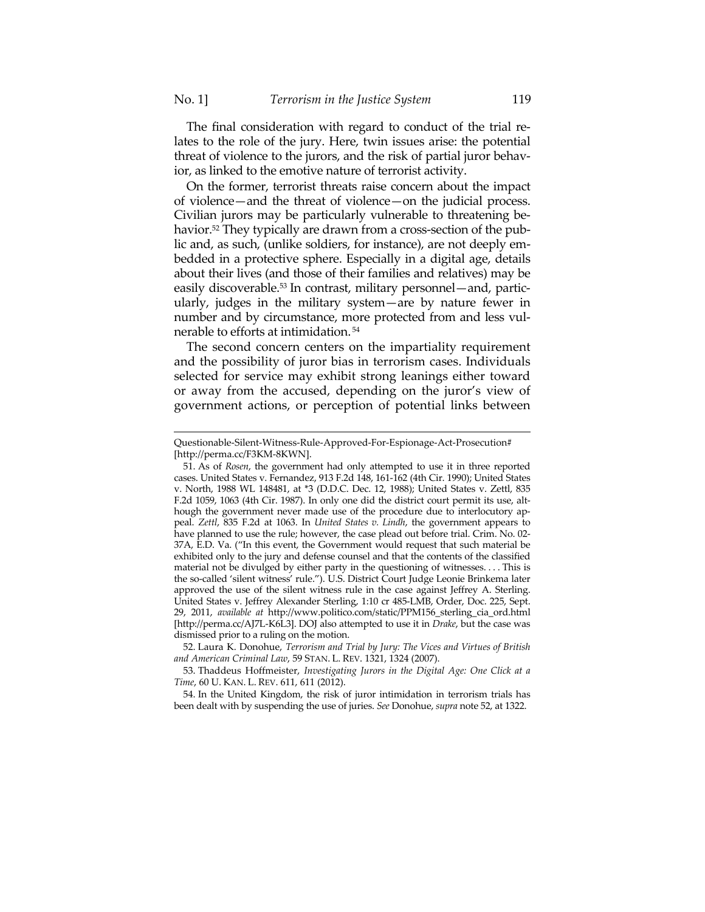The final consideration with regard to conduct of the trial relates to the role of the jury. Here, twin issues arise: the potential threat of violence to the jurors, and the risk of partial juror behavior, as linked to the emotive nature of terrorist activity.

On the former, terrorist threats raise concern about the impact of violence—and the threat of violence—on the judicial process. Civilian jurors may be particularly vulnerable to threatening behavior.<sup>52</sup> They typically are drawn from a cross-section of the public and, as such, (unlike soldiers, for instance), are not deeply embedded in a protective sphere. Especially in a digital age, details about their lives (and those of their families and relatives) may be easily discoverable.<sup>53</sup> In contrast, military personnel—and, particularly, judges in the military system—are by nature fewer in number and by circumstance, more protected from and less vulnerable to efforts at intimidation. 54

The second concern centers on the impartiality requirement and the possibility of juror bias in terrorism cases. Individuals selected for service may exhibit strong leanings either toward or away from the accused, depending on the juror's view of government actions, or perception of potential links between

Questionable-Silent-Witness-Rule-Approved-For-Espionage-Act-Prosecution# [http://perma.cc/F3KM-8KWN].

 <sup>51.</sup> As of *Rosen*, the government had only attempted to use it in three reported cases. United States v. Fernandez, 913 F.2d 148, 161-162 (4th Cir. 1990); United States v. North, 1988 WL 148481, at \*3 (D.D.C. Dec. 12, 1988); United States v. Zettl, 835 F.2d 1059, 1063 (4th Cir. 1987). In only one did the district court permit its use, although the government never made use of the procedure due to interlocutory appeal. *Zettl*, 835 F.2d at 1063. In *United States v. Lindh*, the government appears to have planned to use the rule; however, the case plead out before trial. Crim. No. 02- 37A, E.D. Va. ("In this event, the Government would request that such material be exhibited only to the jury and defense counsel and that the contents of the classified material not be divulged by either party in the questioning of witnesses. . . . This is the so-called 'silent witness' rule."). U.S. District Court Judge Leonie Brinkema later approved the use of the silent witness rule in the case against Jeffrey A. Sterling. United States v. Jeffrey Alexander Sterling, 1:10 cr 485-LMB, Order, Doc. 225, Sept. 29, 2011, *available at* http://www.politico.com/static/PPM156\_sterling\_cia\_ord.html [http://perma.cc/AJ7L-K6L3]. DOJ also attempted to use it in *Drake*, but the case was dismissed prior to a ruling on the motion.

 <sup>52.</sup> Laura K. Donohue, *Terrorism and Trial by Jury: The Vices and Virtues of British and American Criminal Law*, 59 STAN. L. REV. 1321, 1324 (2007).

 <sup>53.</sup> Thaddeus Hoffmeister, *Investigating Jurors in the Digital Age: One Click at a Time*, 60 U. KAN. L. REV. 611, 611 (2012).

 <sup>54.</sup> In the United Kingdom, the risk of juror intimidation in terrorism trials has been dealt with by suspending the use of juries. *See* Donohue, *supra* note 52, at 1322.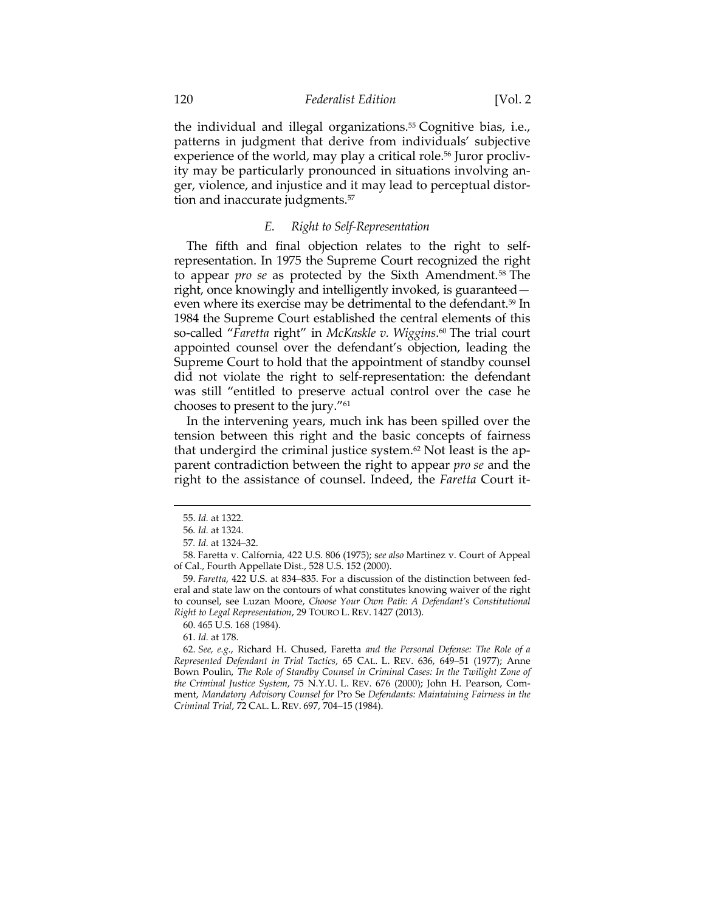the individual and illegal organizations.<sup>55</sup> Cognitive bias, i.e., patterns in judgment that derive from individuals' subjective experience of the world, may play a critical role.<sup>56</sup> Juror proclivity may be particularly pronounced in situations involving anger, violence, and injustice and it may lead to perceptual distortion and inaccurate judgments.<sup>57</sup>

# *E. Right to Self-Representation*

The fifth and final objection relates to the right to selfrepresentation. In 1975 the Supreme Court recognized the right to appear *pro se* as protected by the Sixth Amendment.58 The right, once knowingly and intelligently invoked, is guaranteed even where its exercise may be detrimental to the defendant.<sup>59</sup> In 1984 the Supreme Court established the central elements of this so-called "*Faretta* right" in *McKaskle v. Wiggins*. 60 The trial court appointed counsel over the defendant's objection, leading the Supreme Court to hold that the appointment of standby counsel did not violate the right to self-representation: the defendant was still "entitled to preserve actual control over the case he chooses to present to the jury."61

In the intervening years, much ink has been spilled over the tension between this right and the basic concepts of fairness that undergird the criminal justice system.<sup>62</sup> Not least is the apparent contradiction between the right to appear *pro se* and the right to the assistance of counsel. Indeed, the *Faretta* Court it-

 <sup>55.</sup> *Id.* at 1322.

<sup>56</sup>*. Id.* at 1324.

<sup>57</sup>*. Id.* at 1324–32.

 <sup>58.</sup> Faretta v. Calfornia, 422 U.S. 806 (1975); s*ee also* Martinez v. Court of Appeal of Cal., Fourth Appellate Dist., 528 U.S. 152 (2000).

 <sup>59.</sup> *Faretta*, 422 U.S. at 834–835. For a discussion of the distinction between federal and state law on the contours of what constitutes knowing waiver of the right to counsel, see Luzan Moore, *Choose Your Own Path: A Defendant's Constitutional Right to Legal Representation*, 29 TOURO L. REV. 1427 (2013).

 <sup>60. 465</sup> U.S. 168 (1984).

 <sup>61.</sup> *Id.* at 178.

 <sup>62.</sup> *See, e.g.*, Richard H. Chused, Faretta *and the Personal Defense: The Role of a Represented Defendant in Trial Tactics*, 65 CAL. L. REV. 636, 649–51 (1977); Anne Bown Poulin, *The Role of Standby Counsel in Criminal Cases: In the Twilight Zone of the Criminal Justice System*, 75 N.Y.U. L. REV. 676 (2000); John H. Pearson, Comment, *Mandatory Advisory Counsel for* Pro Se *Defendants: Maintaining Fairness in the Criminal Trial*, 72 CAL. L. REV. 697, 704–15 (1984).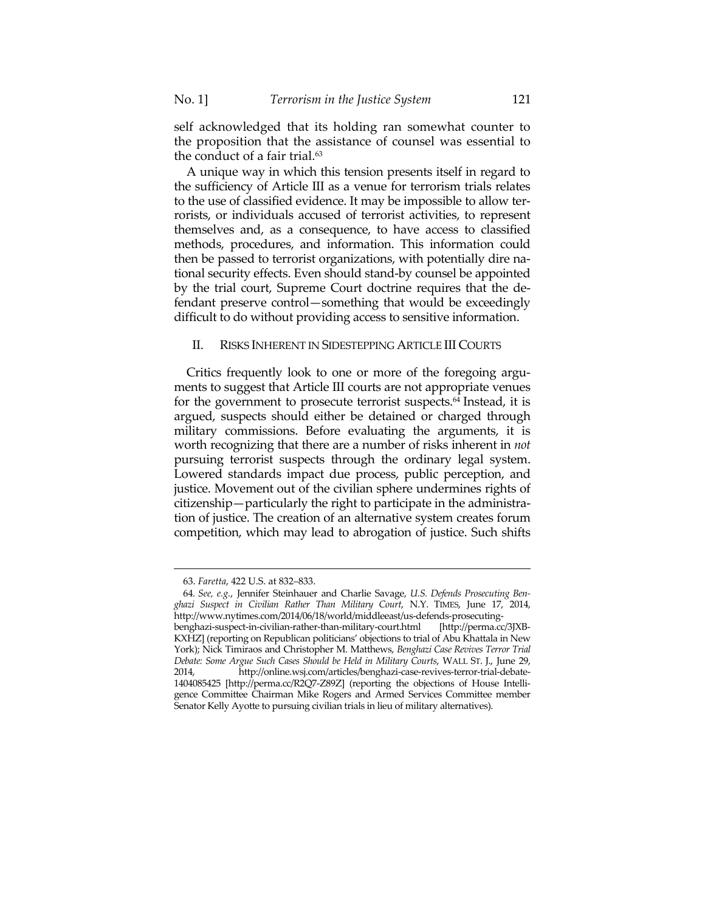self acknowledged that its holding ran somewhat counter to the proposition that the assistance of counsel was essential to the conduct of a fair trial. $63$ 

A unique way in which this tension presents itself in regard to the sufficiency of Article III as a venue for terrorism trials relates to the use of classified evidence. It may be impossible to allow terrorists, or individuals accused of terrorist activities, to represent themselves and, as a consequence, to have access to classified methods, procedures, and information. This information could then be passed to terrorist organizations, with potentially dire national security effects. Even should stand-by counsel be appointed by the trial court, Supreme Court doctrine requires that the defendant preserve control—something that would be exceedingly difficult to do without providing access to sensitive information.

#### II. RISKS INHERENT IN SIDESTEPPING ARTICLE III COURTS

Critics frequently look to one or more of the foregoing arguments to suggest that Article III courts are not appropriate venues for the government to prosecute terrorist suspects.64 Instead, it is argued, suspects should either be detained or charged through military commissions. Before evaluating the arguments, it is worth recognizing that there are a number of risks inherent in *not* pursuing terrorist suspects through the ordinary legal system. Lowered standards impact due process, public perception, and justice. Movement out of the civilian sphere undermines rights of citizenship—particularly the right to participate in the administration of justice. The creation of an alternative system creates forum competition, which may lead to abrogation of justice. Such shifts

 <sup>63.</sup> *Faretta*, 422 U.S. at 832–833.

<sup>64</sup>*. See, e.g.*, Jennifer Steinhauer and Charlie Savage, *U.S. Defends Prosecuting Benghazi Suspect in Civilian Rather Than Military Court*, N.Y. TIMES, June 17, 2014, http://www.nytimes.com/2014/06/18/world/middleeast/us-defends-prosecutingbenghazi-suspect-in-civilian-rather-than-military-court.html [http://perma.cc/3JXB-KXHZ] (reporting on Republican politicians' objections to trial of Abu Khattala in New York); Nick Timiraos and Christopher M. Matthews, *Benghazi Case Revives Terror Trial Debate: Some Argue Such Cases Should be Held in Military Courts*, WALL ST. J., June 29, 2014, http://online.wsj.com/articles/benghazi-case-revives-terror-trial-debate-1404085425 [http://perma.cc/R2Q7-Z89Z] (reporting the objections of House Intelligence Committee Chairman Mike Rogers and Armed Services Committee member Senator Kelly Ayotte to pursuing civilian trials in lieu of military alternatives).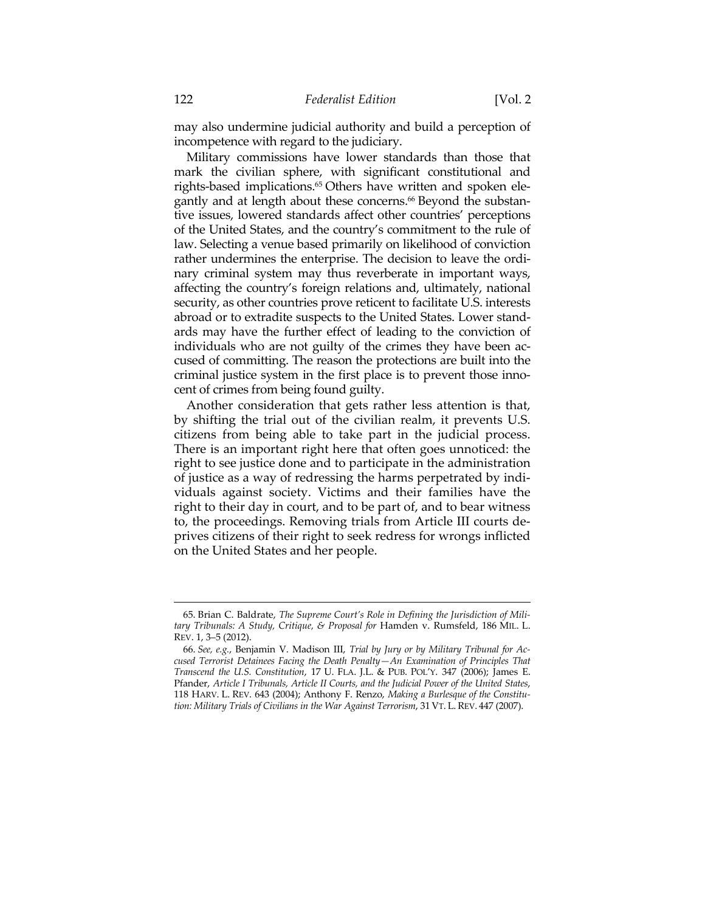may also undermine judicial authority and build a perception of incompetence with regard to the judiciary.

Military commissions have lower standards than those that mark the civilian sphere, with significant constitutional and rights-based implications.<sup>65</sup> Others have written and spoken elegantly and at length about these concerns.<sup>66</sup> Beyond the substantive issues, lowered standards affect other countries' perceptions of the United States, and the country's commitment to the rule of law. Selecting a venue based primarily on likelihood of conviction rather undermines the enterprise. The decision to leave the ordinary criminal system may thus reverberate in important ways, affecting the country's foreign relations and, ultimately, national security, as other countries prove reticent to facilitate U.S. interests abroad or to extradite suspects to the United States. Lower standards may have the further effect of leading to the conviction of individuals who are not guilty of the crimes they have been accused of committing. The reason the protections are built into the criminal justice system in the first place is to prevent those innocent of crimes from being found guilty.

Another consideration that gets rather less attention is that, by shifting the trial out of the civilian realm, it prevents U.S. citizens from being able to take part in the judicial process. There is an important right here that often goes unnoticed: the right to see justice done and to participate in the administration of justice as a way of redressing the harms perpetrated by individuals against society. Victims and their families have the right to their day in court, and to be part of, and to bear witness to, the proceedings. Removing trials from Article III courts deprives citizens of their right to seek redress for wrongs inflicted on the United States and her people.

 <sup>65.</sup> Brian C. Baldrate, *The Supreme Court's Role in Defining the Jurisdiction of Military Tribunals: A Study, Critique, & Proposal for* Hamden v. Rumsfeld, 186 MIL. L. REV. 1, 3–5 (2012).

 <sup>66.</sup> *See, e.g.*, Benjamin V. Madison III, *Trial by Jury or by Military Tribunal for Accused Terrorist Detainees Facing the Death Penalty—An Examination of Principles That Transcend the U.S. Constitution*, 17 U. FLA. J.L. & PUB. POL'Y. 347 (2006); James E. Pfander, *Article I Tribunals, Article II Courts, and the Judicial Power of the United States*, 118 HARV. L. REV. 643 (2004); Anthony F. Renzo, *Making a Burlesque of the Constitution: Military Trials of Civilians in the War Against Terrorism*, 31 VT. L. REV. 447 (2007).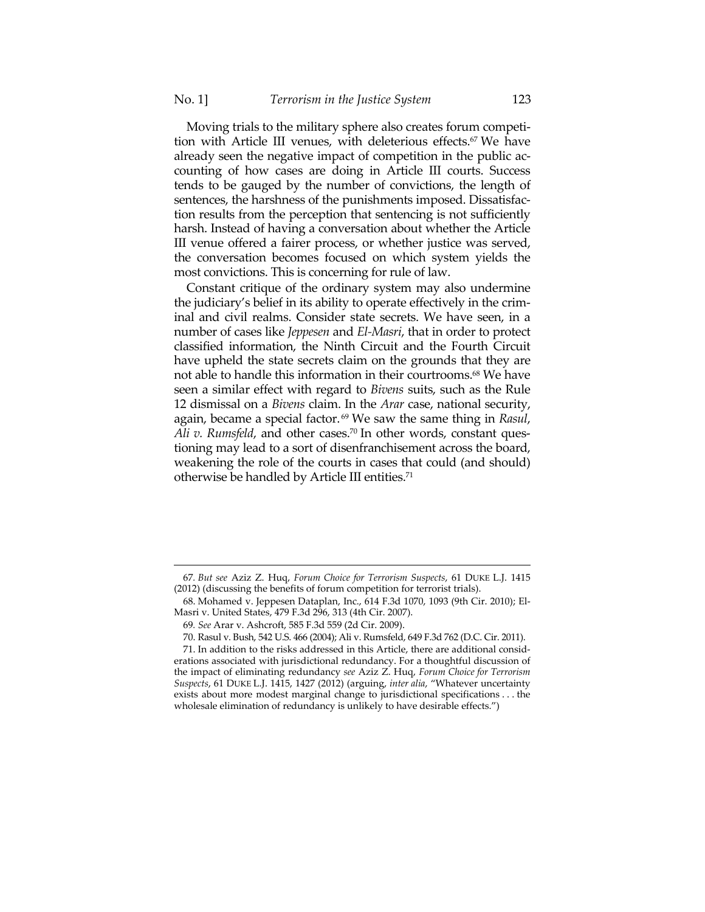Moving trials to the military sphere also creates forum competition with Article III venues, with deleterious effects.<sup>67</sup> We have already seen the negative impact of competition in the public accounting of how cases are doing in Article III courts. Success tends to be gauged by the number of convictions, the length of sentences, the harshness of the punishments imposed. Dissatisfaction results from the perception that sentencing is not sufficiently harsh. Instead of having a conversation about whether the Article III venue offered a fairer process, or whether justice was served, the conversation becomes focused on which system yields the most convictions. This is concerning for rule of law.

Constant critique of the ordinary system may also undermine the judiciary's belief in its ability to operate effectively in the criminal and civil realms. Consider state secrets. We have seen, in a number of cases like *Jeppesen* and *El-Masri*, that in order to protect classified information, the Ninth Circuit and the Fourth Circuit have upheld the state secrets claim on the grounds that they are not able to handle this information in their courtrooms.68 We have seen a similar effect with regard to *Bivens* suits, such as the Rule 12 dismissal on a *Bivens* claim. In the *Arar* case, national security, again, became a special factor. 69 We saw the same thing in *Rasul*, *Ali v. Rumsfeld, and other cases.*<sup>70</sup> In other words, constant questioning may lead to a sort of disenfranchisement across the board, weakening the role of the courts in cases that could (and should) otherwise be handled by Article III entities.71

<sup>&</sup>lt;u> 1989 - Johann Barn, mars ar breithinn ar chuid ann an t-Alban ann an t-Alban ann an t-Alban ann an t-Alban a</u> 67*. But see* Aziz Z. Huq, *Forum Choice for Terrorism Suspects*, 61 DUKE L.J. 1415 (2012) (discussing the benefits of forum competition for terrorist trials).

 <sup>68.</sup> Mohamed v. Jeppesen Dataplan, Inc., 614 F.3d 1070, 1093 (9th Cir. 2010); El-Masri v. United States, 479 F.3d 296, 313 (4th Cir. 2007).

<sup>69</sup>*. See* Arar v. Ashcroft, 585 F.3d 559 (2d Cir. 2009).

 <sup>70.</sup> Rasul v. Bush, 542 U.S. 466 (2004); Ali v. Rumsfeld, 649 F.3d 762 (D.C. Cir. 2011).

 <sup>71.</sup> In addition to the risks addressed in this Article, there are additional considerations associated with jurisdictional redundancy. For a thoughtful discussion of the impact of eliminating redundancy *see* Aziz Z. Huq, *Forum Choice for Terrorism Suspects*, 61 DUKE L.J. 1415, 1427 (2012) (arguing, *inter alia*, "Whatever uncertainty exists about more modest marginal change to jurisdictional specifications . . . the wholesale elimination of redundancy is unlikely to have desirable effects.")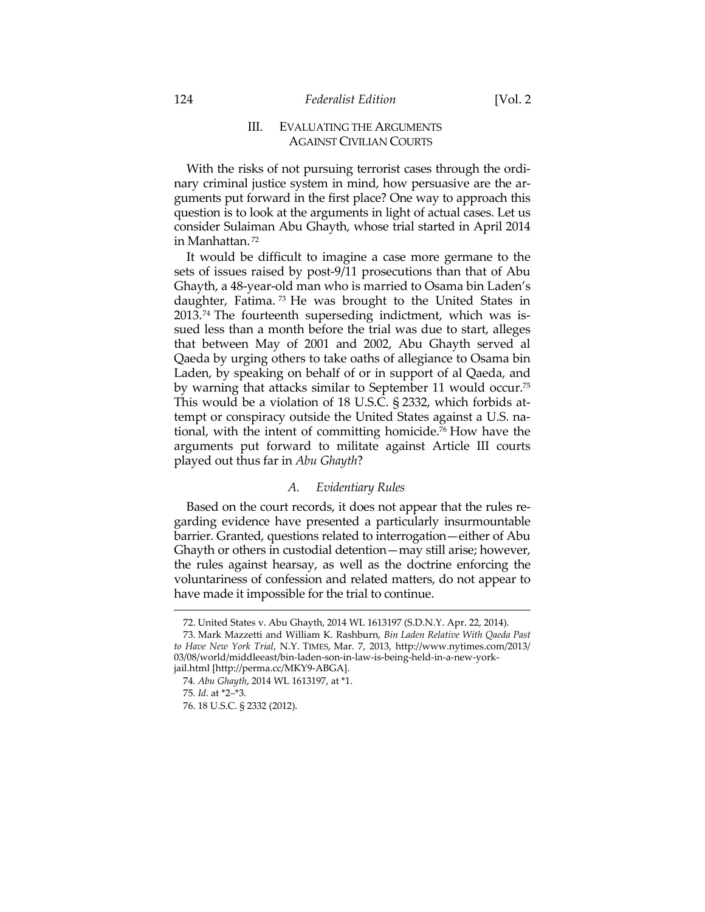# III. EVALUATING THE ARGUMENTS AGAINST CIVILIAN COURTS

With the risks of not pursuing terrorist cases through the ordinary criminal justice system in mind, how persuasive are the arguments put forward in the first place? One way to approach this question is to look at the arguments in light of actual cases. Let us consider Sulaiman Abu Ghayth, whose trial started in April 2014 in Manhattan. 72

It would be difficult to imagine a case more germane to the sets of issues raised by post-9/11 prosecutions than that of Abu Ghayth, a 48-year-old man who is married to Osama bin Laden's daughter, Fatima. 73 He was brought to the United States in 2013.74 The fourteenth superseding indictment, which was issued less than a month before the trial was due to start, alleges that between May of 2001 and 2002, Abu Ghayth served al Qaeda by urging others to take oaths of allegiance to Osama bin Laden, by speaking on behalf of or in support of al Qaeda, and by warning that attacks similar to September 11 would occur.75 This would be a violation of 18 U.S.C. § 2332, which forbids attempt or conspiracy outside the United States against a U.S. national, with the intent of committing homicide.76 How have the arguments put forward to militate against Article III courts played out thus far in *Abu Ghayth*?

# *A. Evidentiary Rules*

Based on the court records, it does not appear that the rules regarding evidence have presented a particularly insurmountable barrier. Granted, questions related to interrogation—either of Abu Ghayth or others in custodial detention—may still arise; however, the rules against hearsay, as well as the doctrine enforcing the voluntariness of confession and related matters, do not appear to have made it impossible for the trial to continue.

- 75*. Id*. at \*2–\*3.
- 76. 18 U.S.C. § 2332 (2012).

<sup>&</sup>lt;u> 1989 - Johann Barn, mars ar breithinn ar chuid ann an t-Alban ann an t-Alban ann an t-Alban ann an t-Alban a</u> 72. United States v. Abu Ghayth, 2014 WL 1613197 (S.D.N.Y. Apr. 22, 2014).

 <sup>73.</sup> Mark Mazzetti and William K. Rashburn, *Bin Laden Relative With Qaeda Past to Have New York Trial*, N.Y. TIMES, Mar. 7, 2013, http://www.nytimes.com/2013/ 03/08/world/middleeast/bin-laden-son-in-law-is-being-held-in-a-new-yorkjail.html [http://perma.cc/MKY9-ABGA].

<sup>74</sup>*. Abu Ghayth*, 2014 WL 1613197, at \*1.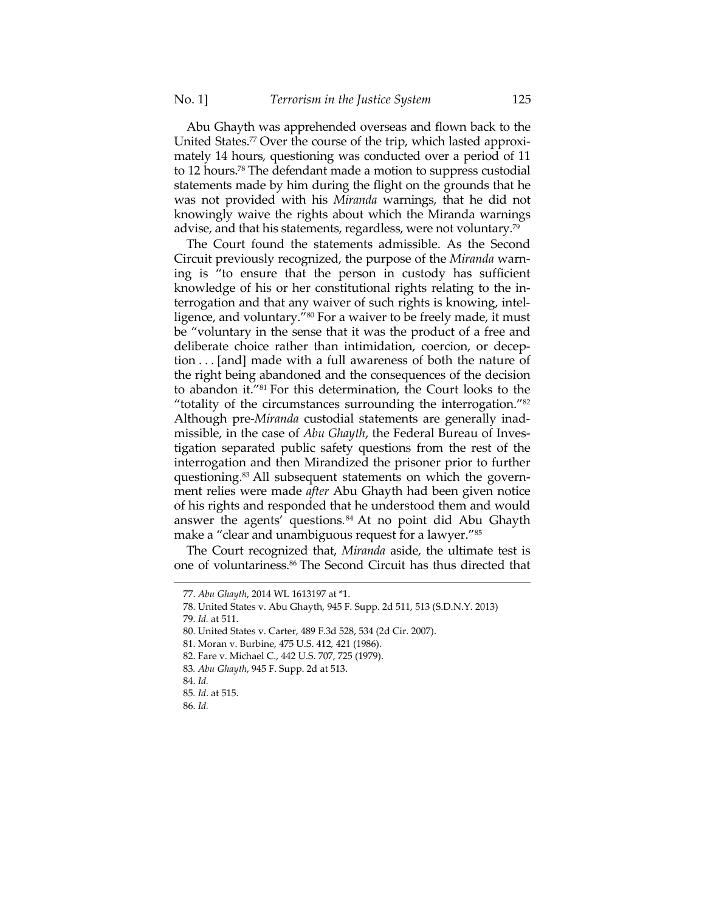Abu Ghayth was apprehended overseas and flown back to the United States.<sup>77</sup> Over the course of the trip, which lasted approximately 14 hours, questioning was conducted over a period of 11 to 12 hours.78 The defendant made a motion to suppress custodial statements made by him during the flight on the grounds that he was not provided with his *Miranda* warnings, that he did not knowingly waive the rights about which the Miranda warnings advise, and that his statements, regardless, were not voluntary.79

The Court found the statements admissible. As the Second Circuit previously recognized, the purpose of the *Miranda* warning is "to ensure that the person in custody has sufficient knowledge of his or her constitutional rights relating to the interrogation and that any waiver of such rights is knowing, intelligence, and voluntary."80 For a waiver to be freely made, it must be "voluntary in the sense that it was the product of a free and deliberate choice rather than intimidation, coercion, or deception . . . [and] made with a full awareness of both the nature of the right being abandoned and the consequences of the decision to abandon it."81 For this determination, the Court looks to the "totality of the circumstances surrounding the interrogation."82 Although pre-*Miranda* custodial statements are generally inadmissible, in the case of *Abu Ghayth*, the Federal Bureau of Investigation separated public safety questions from the rest of the interrogation and then Mirandized the prisoner prior to further questioning.83 All subsequent statements on which the government relies were made *after* Abu Ghayth had been given notice of his rights and responded that he understood them and would answer the agents' questions.84 At no point did Abu Ghayth make a "clear and unambiguous request for a lawyer."85

The Court recognized that, *Miranda* aside, the ultimate test is one of voluntariness.<sup>86</sup> The Second Circuit has thus directed that

<u> 1989 - Johann Barn, mars ar breithinn ar chuid ann an t-Alban ann an t-Alban ann an t-Alban ann an t-Alban a</u>

79. *Id.* at 511.

 <sup>77.</sup> *Abu Ghayth*, 2014 WL 1613197 at \*1.

 <sup>78.</sup> United States v. Abu Ghayth, 945 F. Supp. 2d 511, 513 (S.D.N.Y. 2013)

 <sup>80.</sup> United States v. Carter, 489 F.3d 528, 534 (2d Cir. 2007).

 <sup>81.</sup> Moran v. Burbine, 475 U.S. 412, 421 (1986).

 <sup>82.</sup> Fare v. Michael C., 442 U.S. 707, 725 (1979).

<sup>83</sup>*. Abu Ghayth*, 945 F. Supp. 2d at 513.

 <sup>84.</sup> *Id.*

<sup>85</sup>*. Id*. at 515.

 <sup>86.</sup> *Id.*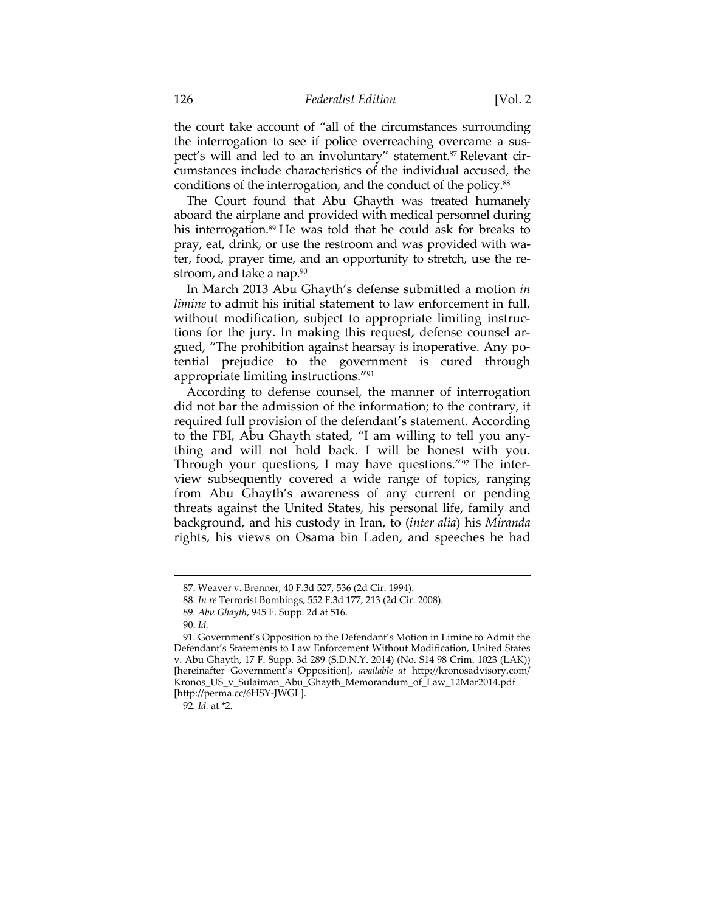the court take account of "all of the circumstances surrounding the interrogation to see if police overreaching overcame a suspect's will and led to an involuntary" statement.<sup>87</sup> Relevant circumstances include characteristics of the individual accused, the conditions of the interrogation, and the conduct of the policy.88

The Court found that Abu Ghayth was treated humanely aboard the airplane and provided with medical personnel during his interrogation.<sup>89</sup> He was told that he could ask for breaks to pray, eat, drink, or use the restroom and was provided with water, food, prayer time, and an opportunity to stretch, use the restroom, and take a nap.<sup>90</sup>

In March 2013 Abu Ghayth's defense submitted a motion *in limine* to admit his initial statement to law enforcement in full, without modification, subject to appropriate limiting instructions for the jury. In making this request, defense counsel argued, "The prohibition against hearsay is inoperative. Any potential prejudice to the government is cured through appropriate limiting instructions."91

According to defense counsel, the manner of interrogation did not bar the admission of the information; to the contrary, it required full provision of the defendant's statement. According to the FBI, Abu Ghayth stated, "I am willing to tell you anything and will not hold back. I will be honest with you. Through your questions, I may have questions."92 The interview subsequently covered a wide range of topics, ranging from Abu Ghayth's awareness of any current or pending threats against the United States, his personal life, family and background, and his custody in Iran, to (*inter alia*) his *Miranda* rights, his views on Osama bin Laden, and speeches he had

 <sup>87.</sup> Weaver v. Brenner, 40 F.3d 527, 536 (2d Cir. 1994).

 <sup>88.</sup> *In re* Terrorist Bombings, 552 F.3d 177, 213 (2d Cir. 2008).

<sup>89</sup>*. Abu Ghayth*, 945 F. Supp. 2d at 516.

 <sup>90.</sup> *Id.*

 <sup>91.</sup> Government's Opposition to the Defendant's Motion in Limine to Admit the Defendant's Statements to Law Enforcement Without Modification, United States v. Abu Ghayth, 17 F. Supp. 3d 289 (S.D.N.Y. 2014) (No. S14 98 Crim. 1023 (LAK)) [hereinafter Government's Opposition], *available at* http://kronosadvisory.com/ Kronos\_US\_v\_Sulaiman\_Abu\_Ghayth\_Memorandum\_of\_Law\_12Mar2014.pdf [http://perma.cc/6HSY-JWGL].

<sup>92</sup>*. Id.* at \*2.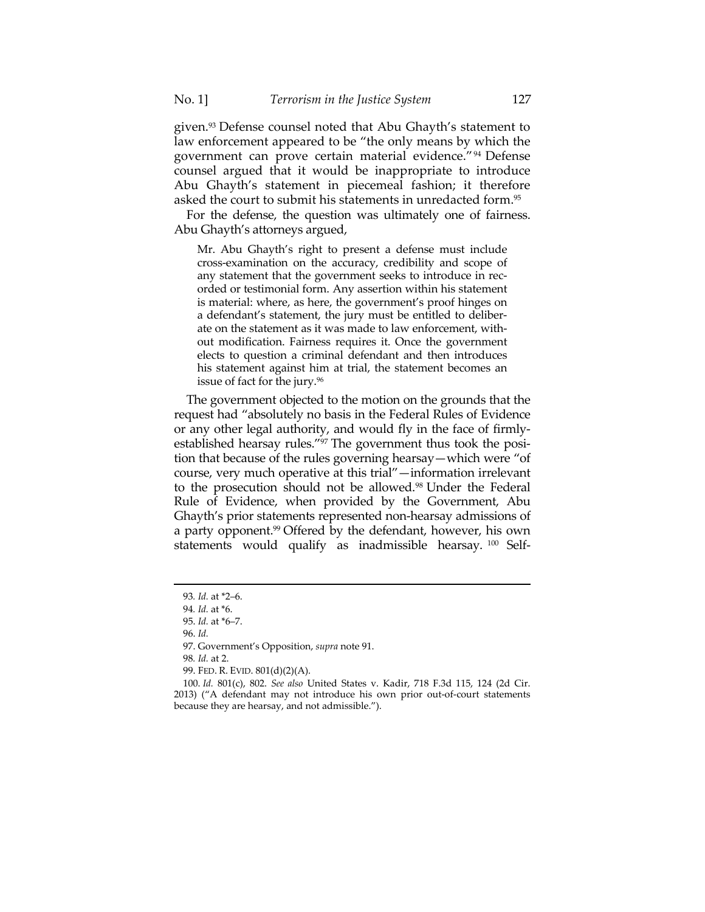given.93 Defense counsel noted that Abu Ghayth's statement to law enforcement appeared to be "the only means by which the government can prove certain material evidence."94 Defense counsel argued that it would be inappropriate to introduce Abu Ghayth's statement in piecemeal fashion; it therefore asked the court to submit his statements in unredacted form.95

For the defense, the question was ultimately one of fairness. Abu Ghayth's attorneys argued,

Mr. Abu Ghayth's right to present a defense must include cross-examination on the accuracy, credibility and scope of any statement that the government seeks to introduce in recorded or testimonial form. Any assertion within his statement is material: where, as here, the government's proof hinges on a defendant's statement, the jury must be entitled to deliberate on the statement as it was made to law enforcement, without modification. Fairness requires it. Once the government elects to question a criminal defendant and then introduces his statement against him at trial, the statement becomes an issue of fact for the jury.<sup>96</sup>

The government objected to the motion on the grounds that the request had "absolutely no basis in the Federal Rules of Evidence or any other legal authority, and would fly in the face of firmlyestablished hearsay rules."97 The government thus took the position that because of the rules governing hearsay—which were "of course, very much operative at this trial"—information irrelevant to the prosecution should not be allowed.<sup>98</sup> Under the Federal Rule of Evidence, when provided by the Government, Abu Ghayth's prior statements represented non-hearsay admissions of a party opponent.<sup>99</sup> Offered by the defendant, however, his own statements would qualify as inadmissible hearsay.<sup>100</sup> Self-

<sup>93</sup>*. Id.* at \*2–6.

<sup>94</sup>*. Id.* at \*6.

 <sup>95.</sup> *Id.* at \*6–7.

 <sup>96.</sup> *Id.*

 <sup>97.</sup> Government's Opposition, *supra* note 91.

<sup>98</sup>*. Id.* at 2.

 <sup>99.</sup> FED. R. EVID. 801(d)(2)(A).

 <sup>100.</sup> *Id.* 801(c), 802. *See also* United States v. Kadir, 718 F.3d 115, 124 (2d Cir. 2013) ("A defendant may not introduce his own prior out-of-court statements because they are hearsay, and not admissible.").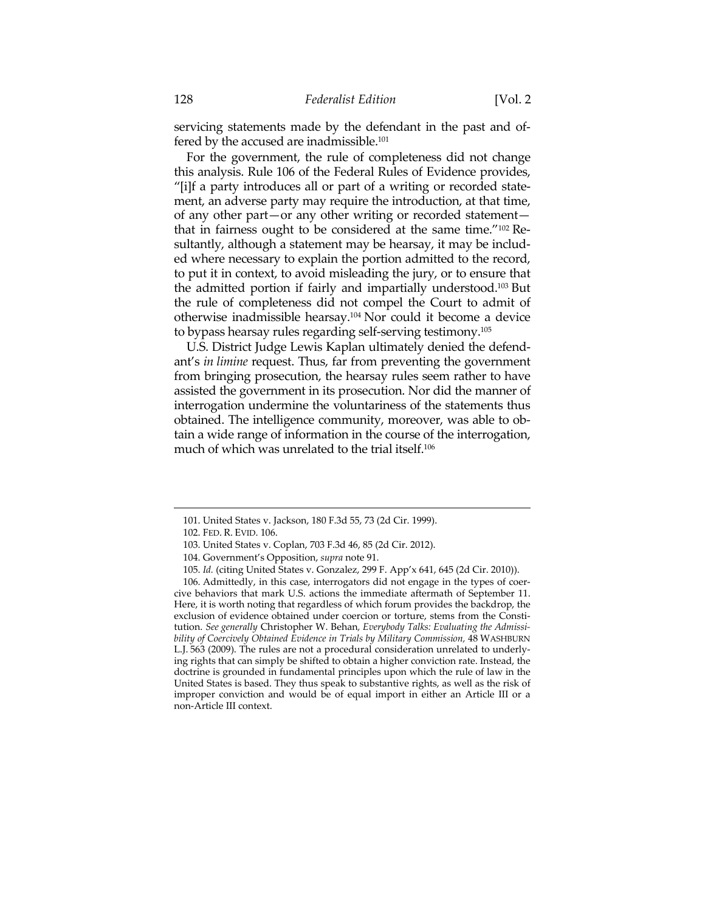servicing statements made by the defendant in the past and offered by the accused are inadmissible.<sup>101</sup>

For the government, the rule of completeness did not change this analysis. Rule 106 of the Federal Rules of Evidence provides, "[i]f a party introduces all or part of a writing or recorded statement, an adverse party may require the introduction, at that time, of any other part—or any other writing or recorded statement that in fairness ought to be considered at the same time."102 Resultantly, although a statement may be hearsay, it may be included where necessary to explain the portion admitted to the record, to put it in context, to avoid misleading the jury, or to ensure that the admitted portion if fairly and impartially understood.103 But the rule of completeness did not compel the Court to admit of otherwise inadmissible hearsay.104 Nor could it become a device to bypass hearsay rules regarding self-serving testimony.105

U.S. District Judge Lewis Kaplan ultimately denied the defendant's *in limine* request. Thus, far from preventing the government from bringing prosecution, the hearsay rules seem rather to have assisted the government in its prosecution. Nor did the manner of interrogation undermine the voluntariness of the statements thus obtained. The intelligence community, moreover, was able to obtain a wide range of information in the course of the interrogation, much of which was unrelated to the trial itself.106

 <sup>101.</sup> United States v. Jackson, 180 F.3d 55, 73 (2d Cir. 1999).

 <sup>102.</sup> FED. R. EVID. 106.

 <sup>103.</sup> United States v. Coplan, 703 F.3d 46, 85 (2d Cir. 2012).

 <sup>104.</sup> Government's Opposition, *supra* note 91.

 <sup>105.</sup> *Id.* (citing United States v. Gonzalez, 299 F. App'x 641, 645 (2d Cir. 2010)).

 <sup>106.</sup> Admittedly, in this case, interrogators did not engage in the types of coercive behaviors that mark U.S. actions the immediate aftermath of September 11. Here, it is worth noting that regardless of which forum provides the backdrop, the exclusion of evidence obtained under coercion or torture, stems from the Constitution. *See generally* Christopher W. Behan*, Everybody Talks: Evaluating the Admissibility of Coercively Obtained Evidence in Trials by Military Commission,* 48 WASHBURN L.J. 563 (2009). The rules are not a procedural consideration unrelated to underlying rights that can simply be shifted to obtain a higher conviction rate. Instead, the doctrine is grounded in fundamental principles upon which the rule of law in the United States is based. They thus speak to substantive rights, as well as the risk of improper conviction and would be of equal import in either an Article III or a non-Article III context.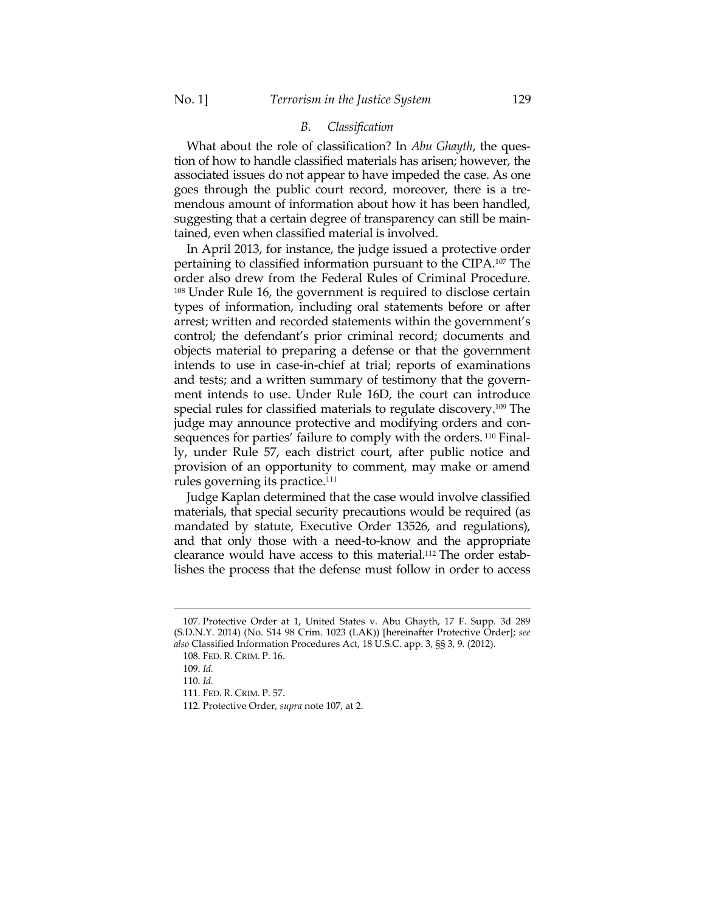# *B. Classification*

What about the role of classification? In *Abu Ghayth*, the question of how to handle classified materials has arisen; however, the associated issues do not appear to have impeded the case. As one goes through the public court record, moreover, there is a tremendous amount of information about how it has been handled, suggesting that a certain degree of transparency can still be maintained, even when classified material is involved.

In April 2013, for instance, the judge issued a protective order pertaining to classified information pursuant to the CIPA.107 The order also drew from the Federal Rules of Criminal Procedure. <sup>108</sup> Under Rule 16, the government is required to disclose certain types of information, including oral statements before or after arrest; written and recorded statements within the government's control; the defendant's prior criminal record; documents and objects material to preparing a defense or that the government intends to use in case-in-chief at trial; reports of examinations and tests; and a written summary of testimony that the government intends to use. Under Rule 16D, the court can introduce special rules for classified materials to regulate discovery.109 The judge may announce protective and modifying orders and consequences for parties' failure to comply with the orders. 110 Finally, under Rule 57, each district court, after public notice and provision of an opportunity to comment, may make or amend rules governing its practice.111

Judge Kaplan determined that the case would involve classified materials, that special security precautions would be required (as mandated by statute, Executive Order 13526, and regulations), and that only those with a need-to-know and the appropriate clearance would have access to this material.112 The order establishes the process that the defense must follow in order to access

 <sup>107.</sup> Protective Order at 1, United States v. Abu Ghayth, 17 F. Supp. 3d 289 (S.D.N.Y. 2014) (No. S14 98 Crim. 1023 (LAK)) [hereinafter Protective Order]; *see also* Classified Information Procedures Act, 18 U.S.C. app. 3, §§ 3, 9. (2012).

 <sup>108.</sup> FED. R. CRIM. P. 16.

 <sup>109.</sup> *Id.*

 <sup>110.</sup> *Id.*

 <sup>111.</sup> FED. R. CRIM. P. 57.

 <sup>112.</sup> Protective Order, *supra* note 107, at 2.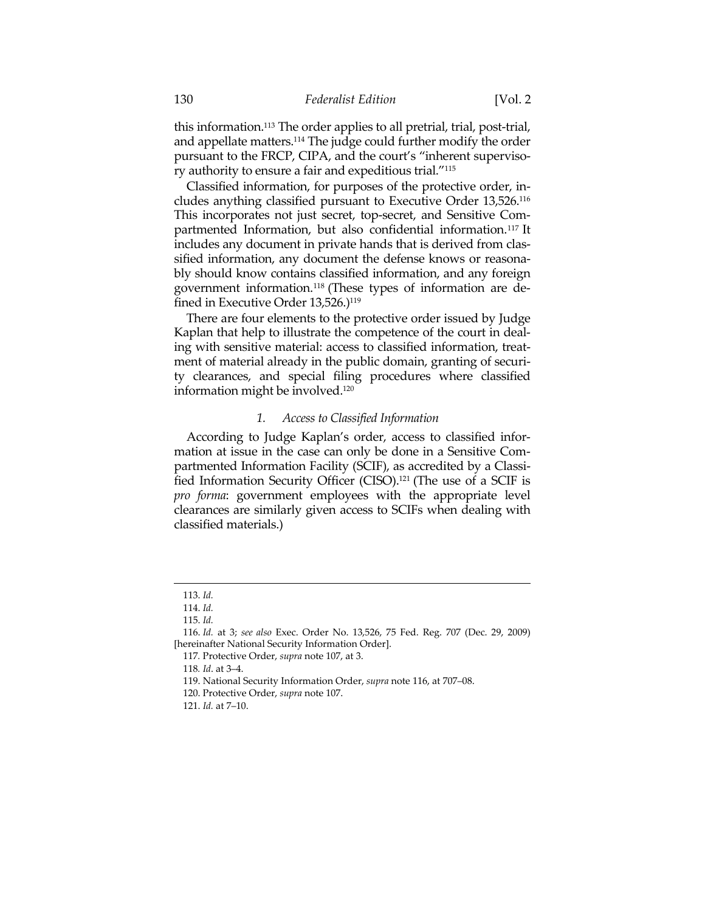this information.113 The order applies to all pretrial, trial, post-trial, and appellate matters.114 The judge could further modify the order pursuant to the FRCP, CIPA, and the court's "inherent supervisory authority to ensure a fair and expeditious trial."115

Classified information, for purposes of the protective order, includes anything classified pursuant to Executive Order 13,526.116 This incorporates not just secret, top-secret, and Sensitive Compartmented Information, but also confidential information.117 It includes any document in private hands that is derived from classified information, any document the defense knows or reasonably should know contains classified information, and any foreign government information.118 (These types of information are defined in Executive Order 13,526.)<sup>119</sup>

There are four elements to the protective order issued by Judge Kaplan that help to illustrate the competence of the court in dealing with sensitive material: access to classified information, treatment of material already in the public domain, granting of security clearances, and special filing procedures where classified information might be involved.120

#### *1. Access to Classified Information*

According to Judge Kaplan's order, access to classified information at issue in the case can only be done in a Sensitive Compartmented Information Facility (SCIF), as accredited by a Classified Information Security Officer (CISO).121 (The use of a SCIF is *pro forma*: government employees with the appropriate level clearances are similarly given access to SCIFs when dealing with classified materials.)

<u> 1989 - Johann Stein, marwolaethau a bhann an t-Amhain an t-Amhain an t-Amhain an t-Amhain an t-Amhain an t-A</u>

117*.* Protective Order, *supra* note 107, at 3.

 <sup>113.</sup> *Id.*

 <sup>114.</sup> *Id.*

 <sup>115.</sup> *Id.*

 <sup>116.</sup> *Id.* at 3; *see also* Exec. Order No. 13,526, 75 Fed. Reg. 707 (Dec. 29, 2009) [hereinafter National Security Information Order].

<sup>118</sup>*. Id*. at 3–4.

 <sup>119.</sup> National Security Information Order, *supra* note 116, at 707–08.

 <sup>120.</sup> Protective Order, *supra* note 107.

 <sup>121.</sup> *Id.* at 7–10.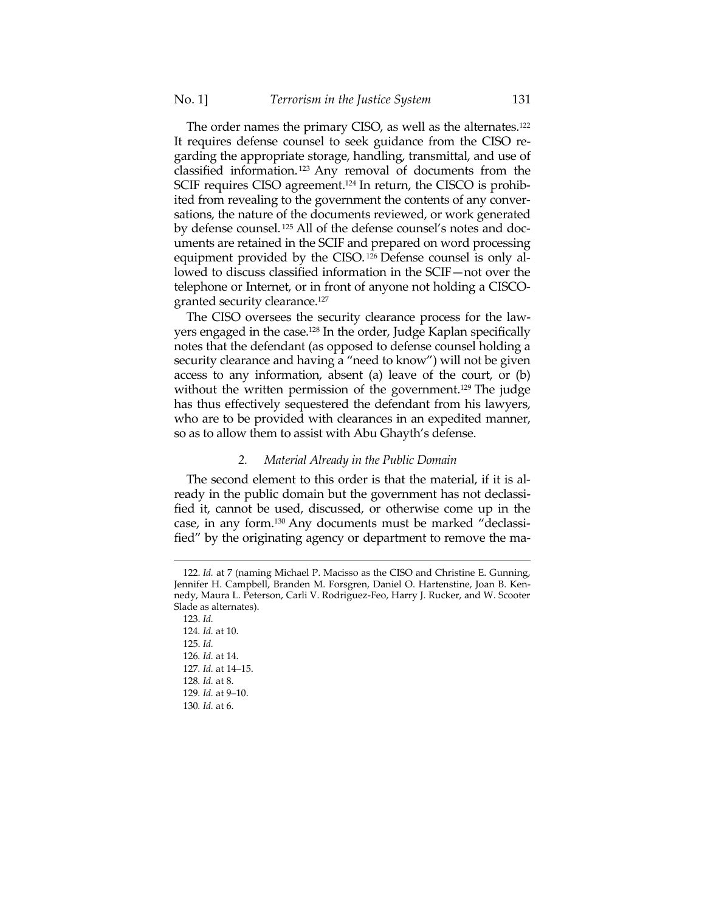The order names the primary CISO, as well as the alternates.122 It requires defense counsel to seek guidance from the CISO regarding the appropriate storage, handling, transmittal, and use of classified information. 123 Any removal of documents from the SCIF requires CISO agreement.<sup>124</sup> In return, the CISCO is prohibited from revealing to the government the contents of any conversations, the nature of the documents reviewed, or work generated by defense counsel. 125 All of the defense counsel's notes and documents are retained in the SCIF and prepared on word processing equipment provided by the CISO. 126 Defense counsel is only allowed to discuss classified information in the SCIF—not over the telephone or Internet, or in front of anyone not holding a CISCOgranted security clearance.127

The CISO oversees the security clearance process for the lawyers engaged in the case.128 In the order, Judge Kaplan specifically notes that the defendant (as opposed to defense counsel holding a security clearance and having a "need to know") will not be given access to any information, absent (a) leave of the court, or (b) without the written permission of the government.<sup>129</sup> The judge has thus effectively sequestered the defendant from his lawyers, who are to be provided with clearances in an expedited manner, so as to allow them to assist with Abu Ghayth's defense.

#### *2. Material Already in the Public Domain*

The second element to this order is that the material, if it is already in the public domain but the government has not declassified it, cannot be used, discussed, or otherwise come up in the case, in any form.130 Any documents must be marked "declassified" by the originating agency or department to remove the ma-

 <sup>122.</sup> *Id.* at 7 (naming Michael P. Macisso as the CISO and Christine E. Gunning, Jennifer H. Campbell, Branden M. Forsgren, Daniel O. Hartenstine, Joan B. Kennedy, Maura L. Peterson, Carli V. Rodriguez-Feo, Harry J. Rucker, and W. Scooter Slade as alternates).

 <sup>123.</sup> *Id.* 124*. Id.* at 10. 125. *Id.* 126*. Id.* at 14. 127*. Id.* at 14–15. 128*. Id.* at 8. 129*. Id.* at 9–10. 130*. Id.* at 6.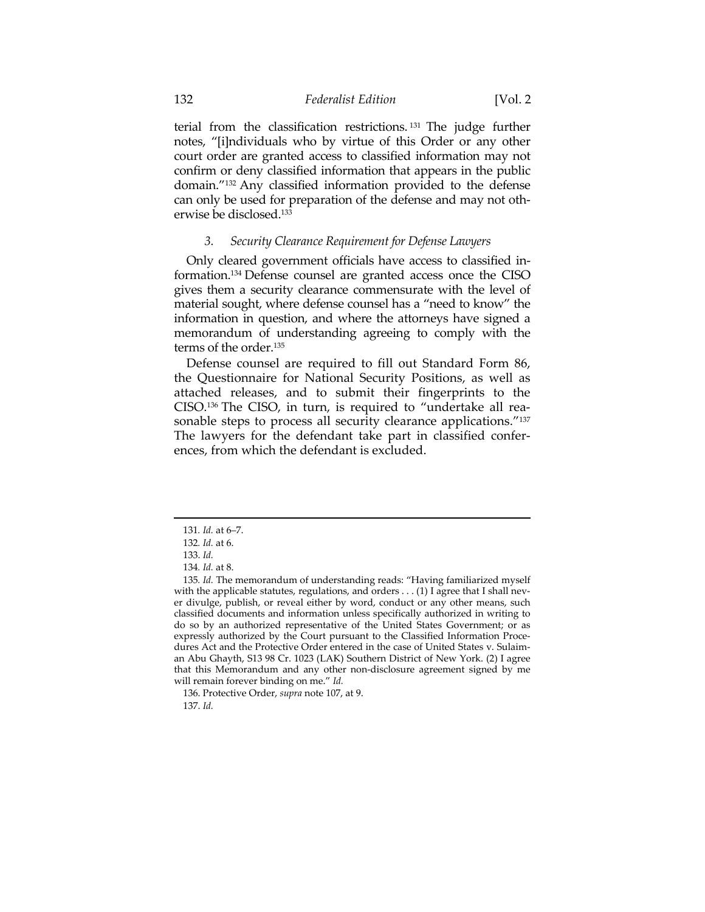terial from the classification restrictions. 131 The judge further notes, "[i]ndividuals who by virtue of this Order or any other court order are granted access to classified information may not confirm or deny classified information that appears in the public domain."132 Any classified information provided to the defense can only be used for preparation of the defense and may not otherwise be disclosed.133

## *3. Security Clearance Requirement for Defense Lawyers*

Only cleared government officials have access to classified information.134 Defense counsel are granted access once the CISO gives them a security clearance commensurate with the level of material sought, where defense counsel has a "need to know" the information in question, and where the attorneys have signed a memorandum of understanding agreeing to comply with the terms of the order.135

Defense counsel are required to fill out Standard Form 86, the Questionnaire for National Security Positions, as well as attached releases, and to submit their fingerprints to the CISO.136 The CISO, in turn, is required to "undertake all reasonable steps to process all security clearance applications."<sup>137</sup> The lawyers for the defendant take part in classified conferences, from which the defendant is excluded.

<sup>131</sup>*. Id.* at 6–7.

<sup>132</sup>*. Id.* at 6.

 <sup>133.</sup> *Id.*

<sup>134</sup>*. Id.* at 8.

<sup>135</sup>*. Id.* The memorandum of understanding reads: "Having familiarized myself with the applicable statutes, regulations, and orders . . . (1) I agree that I shall never divulge, publish, or reveal either by word, conduct or any other means, such classified documents and information unless specifically authorized in writing to do so by an authorized representative of the United States Government; or as expressly authorized by the Court pursuant to the Classified Information Procedures Act and the Protective Order entered in the case of United States v. Sulaiman Abu Ghayth, S13 98 Cr. 1023 (LAK) Southern District of New York. (2) I agree that this Memorandum and any other non-disclosure agreement signed by me will remain forever binding on me." *Id.*

 <sup>136.</sup> Protective Order, *supra* note 107, at 9. 137. *Id.*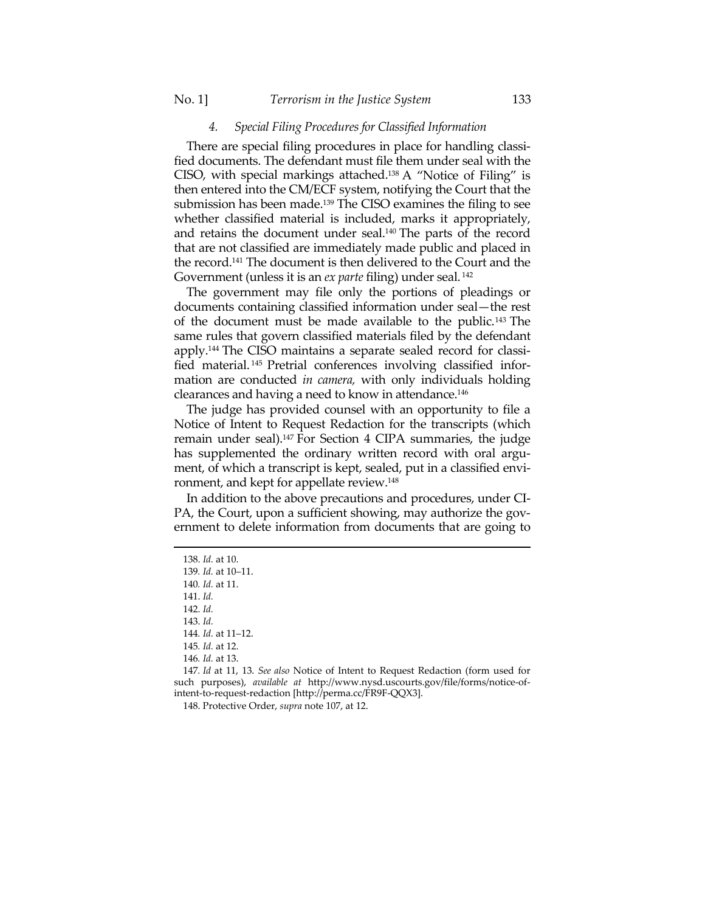#### *4. Special Filing Procedures for Classified Information*

There are special filing procedures in place for handling classified documents. The defendant must file them under seal with the CISO, with special markings attached.138 A "Notice of Filing" is then entered into the CM/ECF system, notifying the Court that the submission has been made.<sup>139</sup> The CISO examines the filing to see whether classified material is included, marks it appropriately, and retains the document under seal.140 The parts of the record that are not classified are immediately made public and placed in the record.141 The document is then delivered to the Court and the Government (unless it is an *ex parte* filing) under seal. 142

The government may file only the portions of pleadings or documents containing classified information under seal—the rest of the document must be made available to the public.143 The same rules that govern classified materials filed by the defendant apply.144 The CISO maintains a separate sealed record for classified material. 145 Pretrial conferences involving classified information are conducted *in camera,* with only individuals holding clearances and having a need to know in attendance.146

The judge has provided counsel with an opportunity to file a Notice of Intent to Request Redaction for the transcripts (which remain under seal).147 For Section 4 CIPA summaries, the judge has supplemented the ordinary written record with oral argument, of which a transcript is kept, sealed, put in a classified environment, and kept for appellate review.148

In addition to the above precautions and procedures, under CI-PA, the Court, upon a sufficient showing, may authorize the government to delete information from documents that are going to

<u> 1989 - Johann Barn, mars ar breithinn ar chuid ann an t-Alban ann an t-Alban ann an t-Alban ann an t-Alban a</u>

148. Protective Order, *supra* note 107, at 12.

 <sup>138.</sup> *Id.* at 10.

<sup>139</sup>*. Id.* at 10–11.

<sup>140</sup>*. Id.* at 11.

 <sup>141.</sup> *Id.*

 <sup>142.</sup> *Id.*

 <sup>143.</sup> *Id.*

<sup>144</sup>*. Id.* at 11–12.

<sup>145</sup>*. Id.* at 12.

<sup>146</sup>*. Id.* at 13.

<sup>147</sup>*. Id* at 11, 13. *See also* Notice of Intent to Request Redaction (form used for such purposes), *available at* http://www.nysd.uscourts.gov/file/forms/notice-ofintent-to-request-redaction [http://perma.cc/FR9F-QQX3].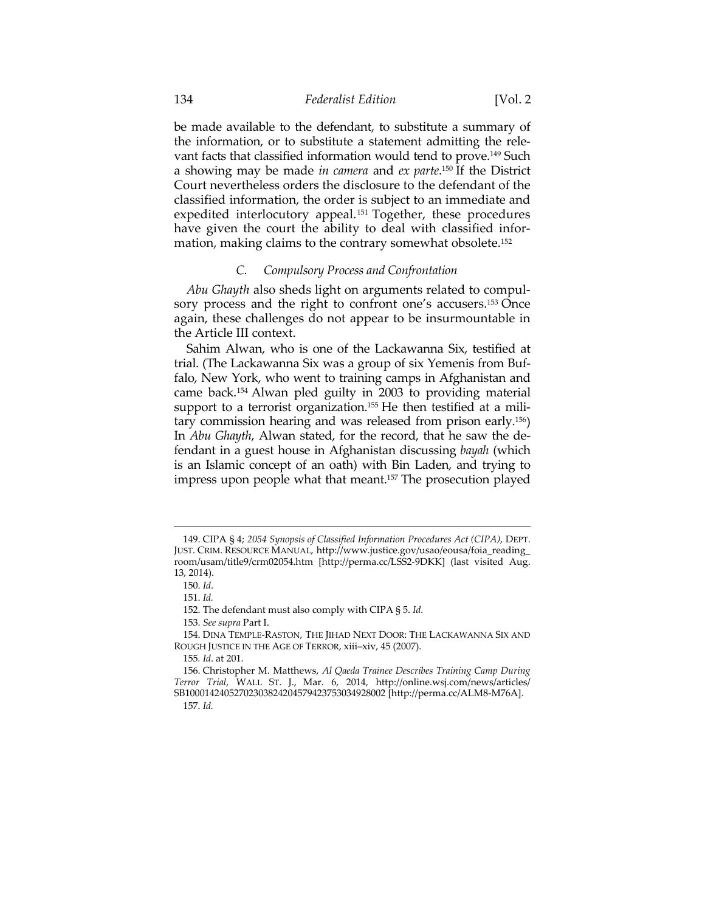be made available to the defendant, to substitute a summary of the information, or to substitute a statement admitting the relevant facts that classified information would tend to prove.149 Such a showing may be made *in camera* and *ex parte*. 150 If the District Court nevertheless orders the disclosure to the defendant of the classified information, the order is subject to an immediate and expedited interlocutory appeal.<sup>151</sup> Together, these procedures have given the court the ability to deal with classified information, making claims to the contrary somewhat obsolete.152

#### *C. Compulsory Process and Confrontation*

*Abu Ghayth* also sheds light on arguments related to compulsory process and the right to confront one's accusers.<sup>153</sup> Once again, these challenges do not appear to be insurmountable in the Article III context.

Sahim Alwan, who is one of the Lackawanna Six, testified at trial. (The Lackawanna Six was a group of six Yemenis from Buffalo, New York, who went to training camps in Afghanistan and came back.154 Alwan pled guilty in 2003 to providing material support to a terrorist organization.<sup>155</sup> He then testified at a military commission hearing and was released from prison early.156) In *Abu Ghayth*, Alwan stated, for the record, that he saw the defendant in a guest house in Afghanistan discussing *bayah* (which is an Islamic concept of an oath) with Bin Laden, and trying to impress upon people what that meant.157 The prosecution played

 <sup>149.</sup> CIPA § 4; *2054 Synopsis of Classified Information Procedures Act (CIPA)*, DEPT. JUST. CRIM. RESOURCE MANUAL, http://www.justice.gov/usao/eousa/foia\_reading\_ room/usam/title9/crm02054.htm [http://perma.cc/LSS2-9DKK] (last visited Aug. 13, 2014).

 <sup>150.</sup> *Id*.

 <sup>151.</sup> *Id.*

 <sup>152.</sup> The defendant must also comply with CIPA § 5. *Id.*

 <sup>153.</sup> *See supra* Part I.

 <sup>154.</sup> DINA TEMPLE-RASTON, THE JIHAD NEXT DOOR: THE LACKAWANNA SIX AND ROUGH JUSTICE IN THE AGE OF TERROR, xiii–xiv, 45 (2007).

<sup>155</sup>*. Id*. at 201.

 <sup>156.</sup> Christopher M. Matthews, *Al Qaeda Trainee Describes Training Camp During Terror Trial*, WALL ST. J., Mar. 6, 2014, http://online.wsj.com/news/articles/ SB10001424052702303824204579423753034928002 [http://perma.cc/ALM8-M76A]. 157. *Id.*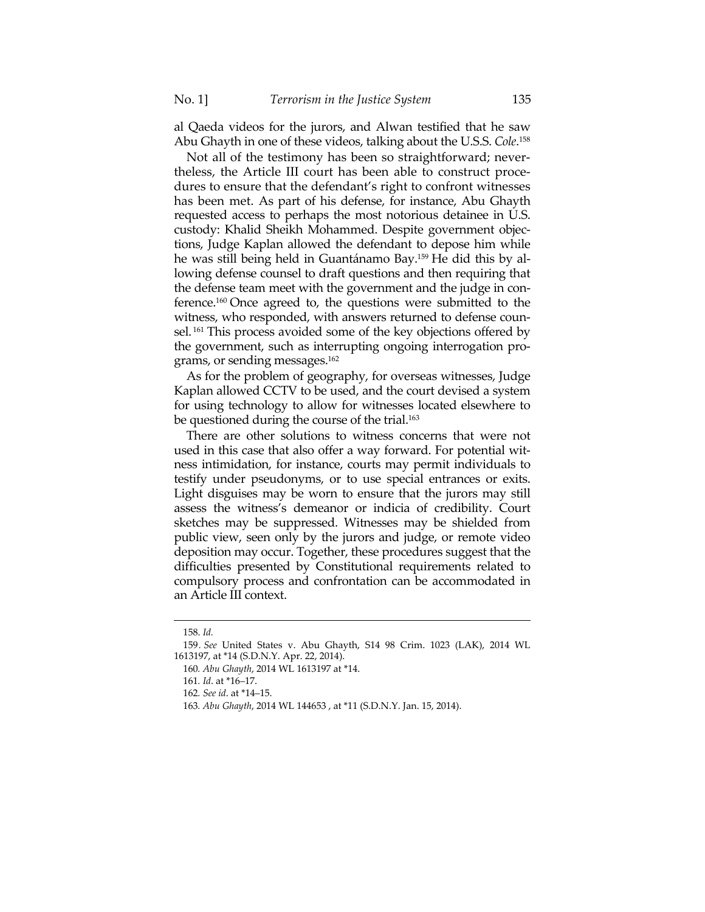al Qaeda videos for the jurors, and Alwan testified that he saw Abu Ghayth in one of these videos, talking about the U.S.S. *Cole*. 158

Not all of the testimony has been so straightforward; nevertheless, the Article III court has been able to construct procedures to ensure that the defendant's right to confront witnesses has been met. As part of his defense, for instance, Abu Ghayth requested access to perhaps the most notorious detainee in U.S. custody: Khalid Sheikh Mohammed. Despite government objections, Judge Kaplan allowed the defendant to depose him while he was still being held in Guantánamo Bay.159 He did this by allowing defense counsel to draft questions and then requiring that the defense team meet with the government and the judge in conference.160 Once agreed to, the questions were submitted to the witness, who responded, with answers returned to defense counsel. 161 This process avoided some of the key objections offered by the government, such as interrupting ongoing interrogation programs, or sending messages.162

As for the problem of geography, for overseas witnesses, Judge Kaplan allowed CCTV to be used, and the court devised a system for using technology to allow for witnesses located elsewhere to be questioned during the course of the trial.<sup>163</sup>

There are other solutions to witness concerns that were not used in this case that also offer a way forward. For potential witness intimidation, for instance, courts may permit individuals to testify under pseudonyms, or to use special entrances or exits. Light disguises may be worn to ensure that the jurors may still assess the witness's demeanor or indicia of credibility. Court sketches may be suppressed. Witnesses may be shielded from public view, seen only by the jurors and judge, or remote video deposition may occur. Together, these procedures suggest that the difficulties presented by Constitutional requirements related to compulsory process and confrontation can be accommodated in an Article III context.

 <sup>158.</sup> *Id.*

<sup>159</sup>*. See* United States v. Abu Ghayth, S14 98 Crim. 1023 (LAK), 2014 WL 1613197, at \*14 (S.D.N.Y. Apr. 22, 2014).

<sup>160</sup>*. Abu Ghayth*, 2014 WL 1613197 at \*14.

<sup>161</sup>*. Id*. at \*16–17.

<sup>162</sup>*. See id*. at \*14–15.

<sup>163</sup>*. Abu Ghayth*, 2014 WL 144653 , at \*11 (S.D.N.Y. Jan. 15, 2014).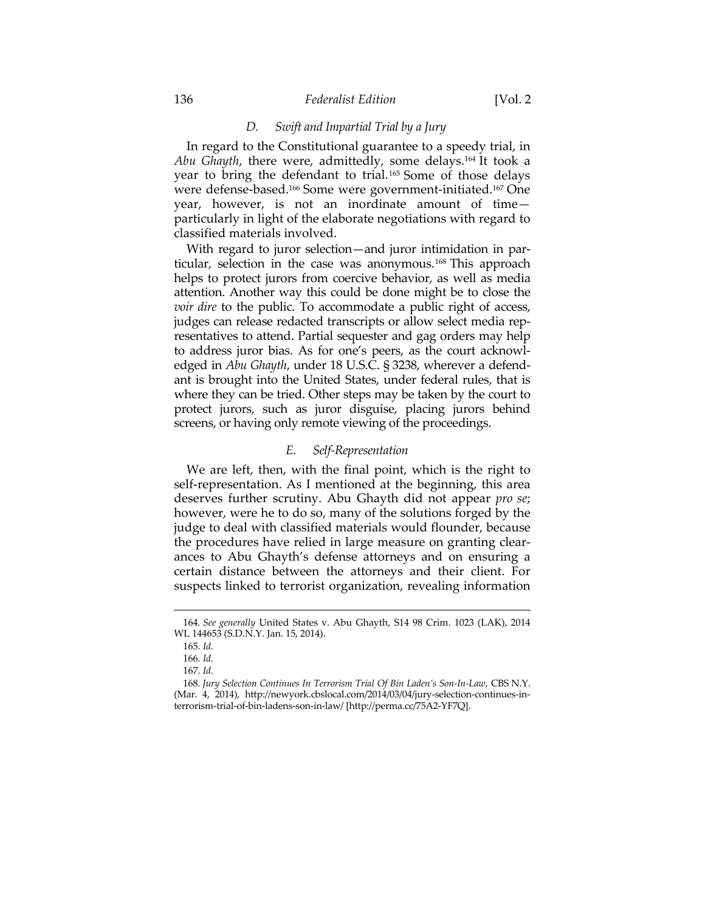#### 136 *Federalist Edition* [Vol. 2

## *D. Swift and Impartial Trial by a Jury*

In regard to the Constitutional guarantee to a speedy trial, in *Abu Ghayth*, there were, admittedly, some delays.164 It took a year to bring the defendant to trial.165 Some of those delays were defense-based.166 Some were government-initiated.167 One year, however, is not an inordinate amount of time particularly in light of the elaborate negotiations with regard to classified materials involved.

With regard to juror selection—and juror intimidation in particular, selection in the case was anonymous.<sup>168</sup> This approach helps to protect jurors from coercive behavior, as well as media attention. Another way this could be done might be to close the *voir dire* to the public. To accommodate a public right of access, judges can release redacted transcripts or allow select media representatives to attend. Partial sequester and gag orders may help to address juror bias. As for one's peers, as the court acknowledged in *Abu Ghayth*, under 18 U.S.C. § 3238, wherever a defendant is brought into the United States, under federal rules, that is where they can be tried. Other steps may be taken by the court to protect jurors, such as juror disguise, placing jurors behind screens, or having only remote viewing of the proceedings.

# *E. Self-Representation*

We are left, then, with the final point, which is the right to self-representation. As I mentioned at the beginning, this area deserves further scrutiny. Abu Ghayth did not appear *pro se*; however, were he to do so, many of the solutions forged by the judge to deal with classified materials would flounder, because the procedures have relied in large measure on granting clearances to Abu Ghayth's defense attorneys and on ensuring a certain distance between the attorneys and their client. For suspects linked to terrorist organization, revealing information

<sup>&</sup>lt;u> 1989 - Johann Barn, mars ar breithinn ar chuid ann an t-Alban ann an t-Alban ann an t-Alban ann an t-Alban a</u> 164*. See generally* United States v. Abu Ghayth, S14 98 Crim. 1023 (LAK), 2014 WL 144653 (S.D.N.Y. Jan. 15, 2014).

 <sup>165.</sup> *Id.*

 <sup>166.</sup> *Id.*

 <sup>167.</sup> *Id.*

<sup>168</sup>*. Jury Selection Continues In Terrorism Trial Of Bin Laden's Son-In-Law*, CBS N.Y. (Mar. 4, 2014), http://newyork.cbslocal.com/2014/03/04/jury-selection-continues-interrorism-trial-of-bin-ladens-son-in-law/ [http://perma.cc/75A2-YF7Q].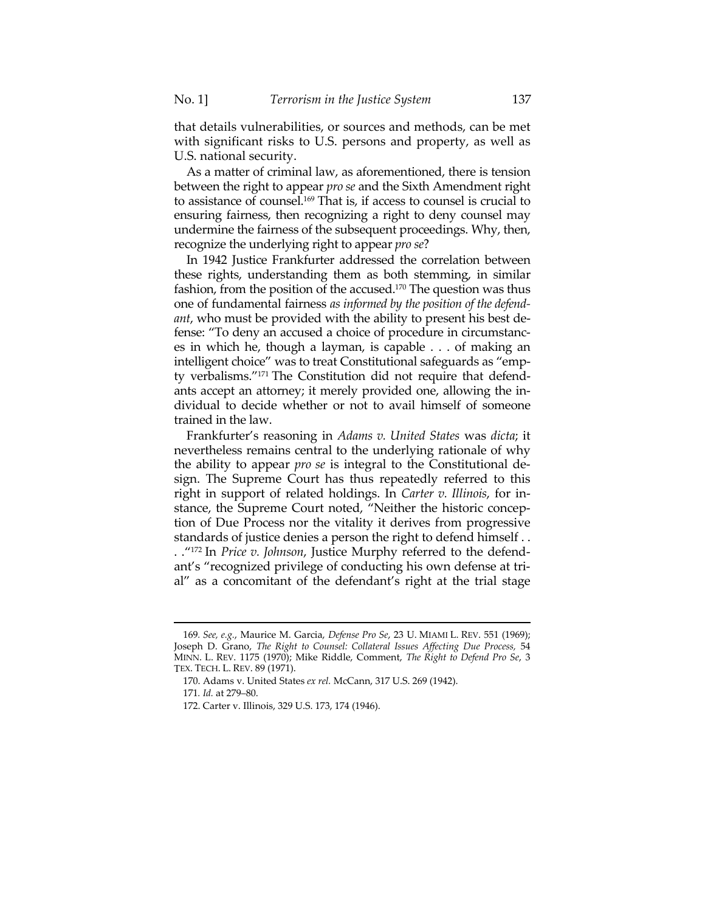that details vulnerabilities, or sources and methods, can be met with significant risks to U.S. persons and property, as well as U.S. national security.

As a matter of criminal law, as aforementioned, there is tension between the right to appear *pro se* and the Sixth Amendment right to assistance of counsel.169 That is, if access to counsel is crucial to ensuring fairness, then recognizing a right to deny counsel may undermine the fairness of the subsequent proceedings. Why, then, recognize the underlying right to appear *pro se*?

In 1942 Justice Frankfurter addressed the correlation between these rights, understanding them as both stemming, in similar fashion, from the position of the accused.170 The question was thus one of fundamental fairness *as informed by the position of the defendant*, who must be provided with the ability to present his best defense: "To deny an accused a choice of procedure in circumstances in which he, though a layman, is capable . . . of making an intelligent choice" was to treat Constitutional safeguards as "empty verbalisms."171 The Constitution did not require that defendants accept an attorney; it merely provided one, allowing the individual to decide whether or not to avail himself of someone trained in the law.

Frankfurter's reasoning in *Adams v. United States* was *dicta*; it nevertheless remains central to the underlying rationale of why the ability to appear *pro se* is integral to the Constitutional design. The Supreme Court has thus repeatedly referred to this right in support of related holdings. In *Carter v. Illinois*, for instance, the Supreme Court noted, "Neither the historic conception of Due Process nor the vitality it derives from progressive standards of justice denies a person the right to defend himself . . . ."172 In *Price v. Johnson*, Justice Murphy referred to the defendant's "recognized privilege of conducting his own defense at trial" as a concomitant of the defendant's right at the trial stage

<sup>169</sup>*. See, e.g.*, Maurice M. Garcia, *Defense Pro Se*, 23 U. MIAMI L. REV. 551 (1969); Joseph D. Grano, *The Right to Counsel: Collateral Issues Affecting Due Process,* 54 MINN. L. REV. 1175 (1970); Mike Riddle, Comment, *The Right to Defend Pro Se*, 3 TEX. TECH. L. REV. 89 (1971).

 <sup>170.</sup> Adams v. United States *ex rel.* McCann, 317 U.S. 269 (1942).

<sup>171</sup>*. Id.* at 279–80.

 <sup>172.</sup> Carter v. Illinois, 329 U.S. 173, 174 (1946).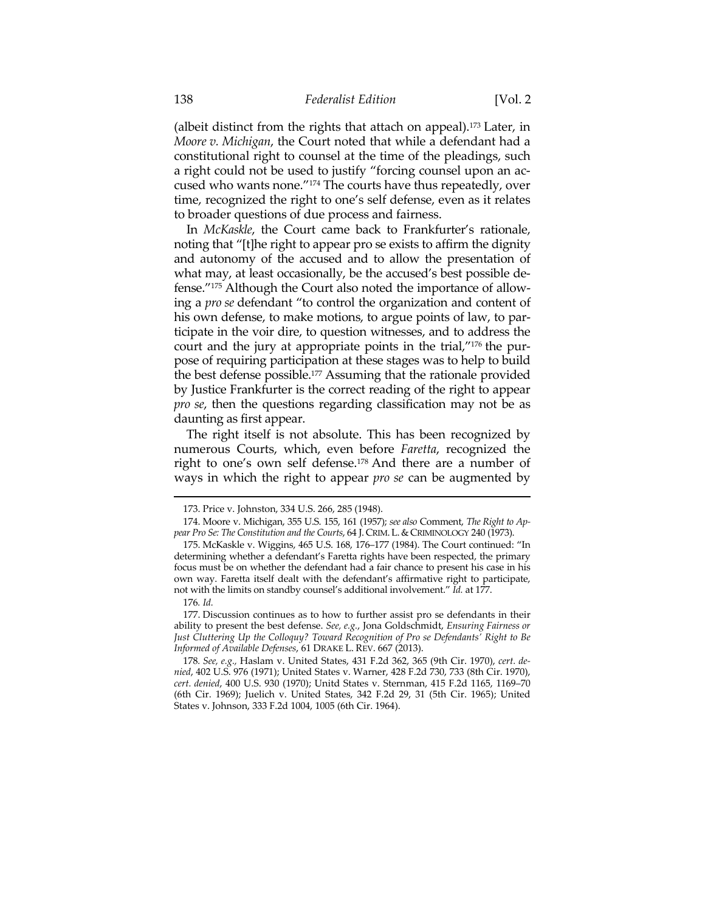(albeit distinct from the rights that attach on appeal).173 Later, in *Moore v. Michigan*, the Court noted that while a defendant had a constitutional right to counsel at the time of the pleadings, such a right could not be used to justify "forcing counsel upon an accused who wants none."174 The courts have thus repeatedly, over time, recognized the right to one's self defense, even as it relates to broader questions of due process and fairness.

In *McKaskle*, the Court came back to Frankfurter's rationale, noting that "[t]he right to appear pro se exists to affirm the dignity and autonomy of the accused and to allow the presentation of what may, at least occasionally, be the accused's best possible defense."175 Although the Court also noted the importance of allowing a *pro se* defendant "to control the organization and content of his own defense, to make motions, to argue points of law, to participate in the voir dire, to question witnesses, and to address the court and the jury at appropriate points in the trial,"176 the purpose of requiring participation at these stages was to help to build the best defense possible.177 Assuming that the rationale provided by Justice Frankfurter is the correct reading of the right to appear *pro se*, then the questions regarding classification may not be as daunting as first appear.

 The right itself is not absolute. This has been recognized by numerous Courts, which, even before *Faretta*, recognized the right to one's own self defense.178 And there are a number of ways in which the right to appear *pro se* can be augmented by

 <sup>173.</sup> Price v. Johnston, 334 U.S. 266, 285 (1948).

 <sup>174.</sup> Moore v. Michigan, 355 U.S. 155, 161 (1957); *see also* Comment, *The Right to Ap*pear Pro Se: The Constitution and the Courts, 64 J. CRIM. L. & CRIMINOLOGY 240 (1973).

 <sup>175.</sup> McKaskle v. Wiggins, 465 U.S. 168, 176–177 (1984). The Court continued: "In determining whether a defendant's Faretta rights have been respected, the primary focus must be on whether the defendant had a fair chance to present his case in his own way. Faretta itself dealt with the defendant's affirmative right to participate, not with the limits on standby counsel's additional involvement." *Id.* at 177.

<sup>176</sup>*. Id.*

 <sup>177.</sup> Discussion continues as to how to further assist pro se defendants in their ability to present the best defense. *See, e.g.*, Jona Goldschmidt, *Ensuring Fairness or Just Cluttering Up the Colloquy? Toward Recognition of Pro se Defendants' Right to Be Informed of Available Defenses*, 61 DRAKE L. REV. 667 (2013).

<sup>178</sup>*. See, e.g.,* Haslam v. United States, 431 F.2d 362, 365 (9th Cir. 1970), *cert. denied*, 402 U.S. 976 (1971); United States v. Warner, 428 F.2d 730, 733 (8th Cir. 1970), *cert. denied*, 400 U.S. 930 (1970); Unitd States v. Sternman, 415 F.2d 1165, 1169–70 (6th Cir. 1969); Juelich v. United States, 342 F.2d 29, 31 (5th Cir. 1965); United States v. Johnson, 333 F.2d 1004, 1005 (6th Cir. 1964).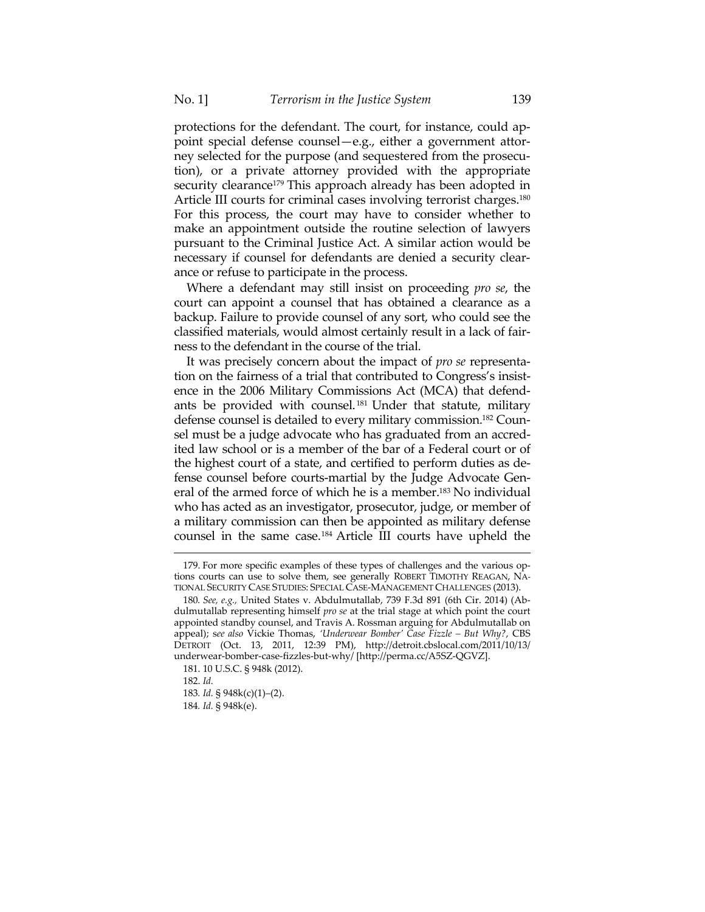protections for the defendant. The court, for instance, could appoint special defense counsel—e.g., either a government attorney selected for the purpose (and sequestered from the prosecution), or a private attorney provided with the appropriate security clearance<sup>179</sup> This approach already has been adopted in Article III courts for criminal cases involving terrorist charges.<sup>180</sup> For this process, the court may have to consider whether to make an appointment outside the routine selection of lawyers pursuant to the Criminal Justice Act. A similar action would be necessary if counsel for defendants are denied a security clearance or refuse to participate in the process.

Where a defendant may still insist on proceeding *pro se*, the court can appoint a counsel that has obtained a clearance as a backup. Failure to provide counsel of any sort, who could see the classified materials, would almost certainly result in a lack of fairness to the defendant in the course of the trial.

It was precisely concern about the impact of *pro se* representation on the fairness of a trial that contributed to Congress's insistence in the 2006 Military Commissions Act (MCA) that defendants be provided with counsel. 181 Under that statute, military defense counsel is detailed to every military commission.182 Counsel must be a judge advocate who has graduated from an accredited law school or is a member of the bar of a Federal court or of the highest court of a state, and certified to perform duties as defense counsel before courts-martial by the Judge Advocate General of the armed force of which he is a member.183 No individual who has acted as an investigator, prosecutor, judge, or member of a military commission can then be appointed as military defense counsel in the same case.184 Article III courts have upheld the

 <sup>179.</sup> For more specific examples of these types of challenges and the various options courts can use to solve them, see generally ROBERT TIMOTHY REAGAN, NA-TIONAL SECURITY CASE STUDIES: SPECIAL CASE-MANAGEMENT CHALLENGES (2013).

<sup>180</sup>*. See, e.g.,* United States v. Abdulmutallab, 739 F.3d 891 (6th Cir. 2014) (Abdulmutallab representing himself *pro se* at the trial stage at which point the court appointed standby counsel, and Travis A. Rossman arguing for Abdulmutallab on appeal); s*ee also* Vickie Thomas, *'Underwear Bomber' Case Fizzle – But Why?*, CBS DETROIT (Oct. 13, 2011, 12:39 PM), http://detroit.cbslocal.com/2011/10/13/ underwear-bomber-case-fizzles-but-why/ [http://perma.cc/A5SZ-QGVZ].

 <sup>181. 10</sup> U.S.C. § 948k (2012).

 <sup>182.</sup> *Id.*

<sup>183</sup>*. Id.* § 948k(c)(1)–(2).

<sup>184</sup>*. Id.* § 948k(e).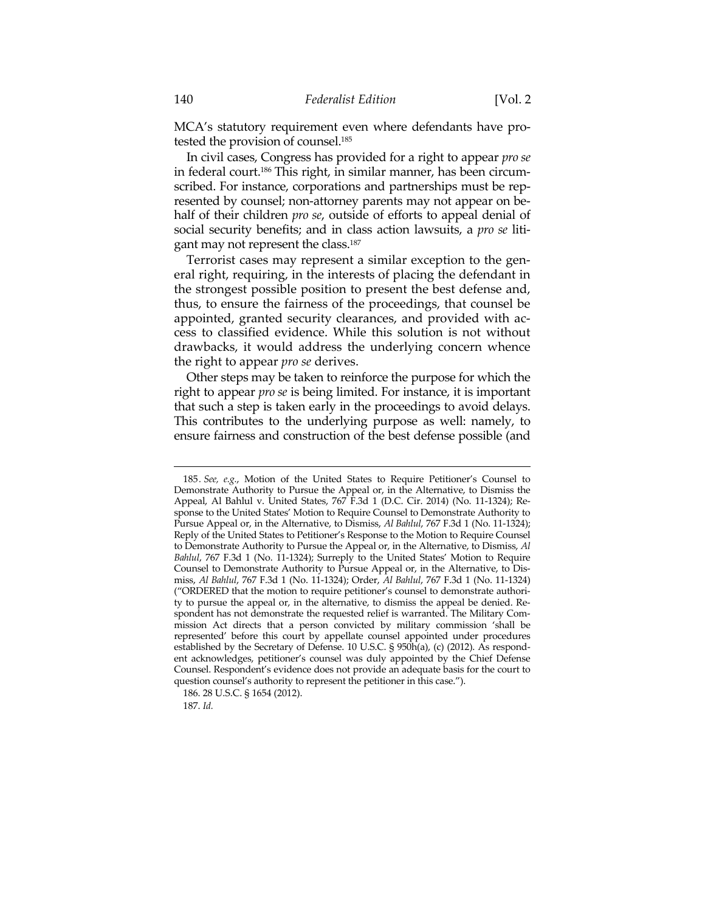MCA's statutory requirement even where defendants have protested the provision of counsel.185

In civil cases, Congress has provided for a right to appear *pro se* in federal court.186 This right, in similar manner, has been circumscribed. For instance, corporations and partnerships must be represented by counsel; non-attorney parents may not appear on behalf of their children *pro se*, outside of efforts to appeal denial of social security benefits; and in class action lawsuits, a *pro se* litigant may not represent the class.187

Terrorist cases may represent a similar exception to the general right, requiring, in the interests of placing the defendant in the strongest possible position to present the best defense and, thus, to ensure the fairness of the proceedings, that counsel be appointed, granted security clearances, and provided with access to classified evidence. While this solution is not without drawbacks, it would address the underlying concern whence the right to appear *pro se* derives.

Other steps may be taken to reinforce the purpose for which the right to appear *pro se* is being limited. For instance, it is important that such a step is taken early in the proceedings to avoid delays. This contributes to the underlying purpose as well: namely, to ensure fairness and construction of the best defense possible (and

<sup>185</sup>*. See, e.g.*, Motion of the United States to Require Petitioner's Counsel to Demonstrate Authority to Pursue the Appeal or, in the Alternative, to Dismiss the Appeal, Al Bahlul v. United States, 767 F.3d 1 (D.C. Cir. 2014) (No. 11-1324); Response to the United States' Motion to Require Counsel to Demonstrate Authority to Pursue Appeal or, in the Alternative, to Dismiss, *Al Bahlul*, 767 F.3d 1 (No. 11-1324); Reply of the United States to Petitioner's Response to the Motion to Require Counsel to Demonstrate Authority to Pursue the Appeal or, in the Alternative, to Dismiss, *Al Bahlul*, 767 F.3d 1 (No. 11-1324); Surreply to the United States' Motion to Require Counsel to Demonstrate Authority to Pursue Appeal or, in the Alternative, to Dismiss, *Al Bahlul*, 767 F.3d 1 (No. 11-1324); Order, *Al Bahlul*, 767 F.3d 1 (No. 11-1324) ("ORDERED that the motion to require petitioner's counsel to demonstrate authority to pursue the appeal or, in the alternative, to dismiss the appeal be denied. Respondent has not demonstrate the requested relief is warranted. The Military Commission Act directs that a person convicted by military commission 'shall be represented' before this court by appellate counsel appointed under procedures established by the Secretary of Defense. 10 U.S.C. § 950h(a), (c) (2012). As respondent acknowledges, petitioner's counsel was duly appointed by the Chief Defense Counsel. Respondent's evidence does not provide an adequate basis for the court to question counsel's authority to represent the petitioner in this case.").

 <sup>186. 28</sup> U.S.C. § 1654 (2012).

 <sup>187.</sup> *Id.*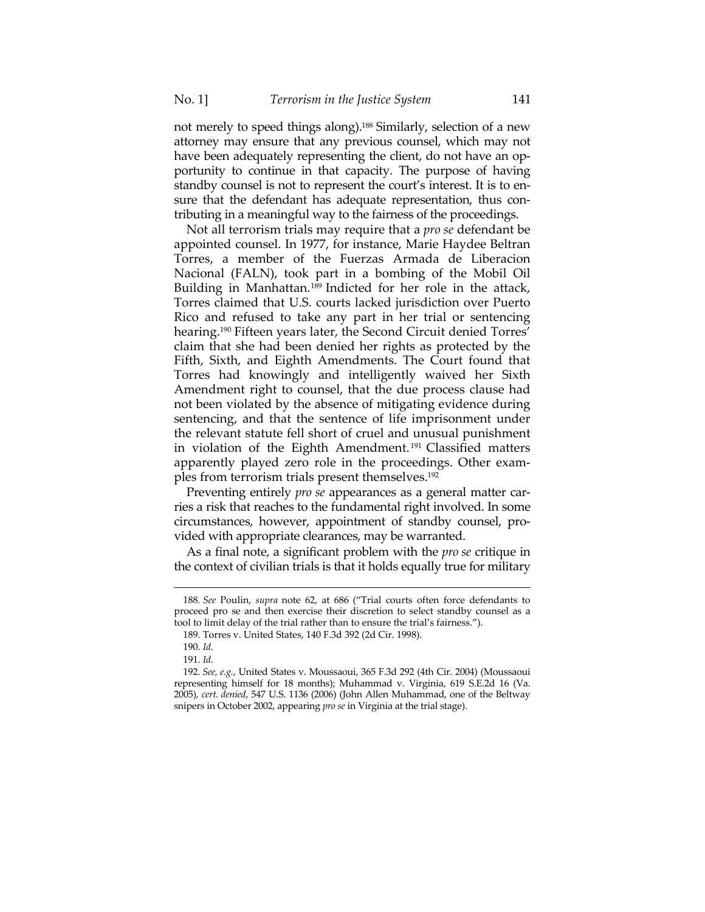not merely to speed things along).188 Similarly, selection of a new attorney may ensure that any previous counsel, which may not have been adequately representing the client, do not have an opportunity to continue in that capacity. The purpose of having standby counsel is not to represent the court's interest. It is to ensure that the defendant has adequate representation, thus contributing in a meaningful way to the fairness of the proceedings.

Not all terrorism trials may require that a *pro se* defendant be appointed counsel. In 1977, for instance, Marie Haydee Beltran Torres, a member of the Fuerzas Armada de Liberacion Nacional (FALN), took part in a bombing of the Mobil Oil Building in Manhattan.<sup>189</sup> Indicted for her role in the attack, Torres claimed that U.S. courts lacked jurisdiction over Puerto Rico and refused to take any part in her trial or sentencing hearing.<sup>190</sup> Fifteen years later, the Second Circuit denied Torres' claim that she had been denied her rights as protected by the Fifth, Sixth, and Eighth Amendments. The Court found that Torres had knowingly and intelligently waived her Sixth Amendment right to counsel, that the due process clause had not been violated by the absence of mitigating evidence during sentencing, and that the sentence of life imprisonment under the relevant statute fell short of cruel and unusual punishment in violation of the Eighth Amendment. 191 Classified matters apparently played zero role in the proceedings. Other examples from terrorism trials present themselves.192

Preventing entirely *pro se* appearances as a general matter carries a risk that reaches to the fundamental right involved. In some circumstances, however, appointment of standby counsel, provided with appropriate clearances, may be warranted.

As a final note, a significant problem with the *pro se* critique in the context of civilian trials is that it holds equally true for military

<sup>188</sup>*. See* Poulin, *supra* note 62, at 686 ("Trial courts often force defendants to proceed pro se and then exercise their discretion to select standby counsel as a tool to limit delay of the trial rather than to ensure the trial's fairness.").

 <sup>189.</sup> Torres v. United States, 140 F.3d 392 (2d Cir. 1998).

 <sup>190.</sup> *Id.*

 <sup>191.</sup> *Id.*

 <sup>192.</sup> *See, e.g.*, United States v. Moussaoui, 365 F.3d 292 (4th Cir. 2004) (Moussaoui representing himself for 18 months); Muhammad v. Virginia, 619 S.E.2d 16 (Va. 2005), *cert. denied*, 547 U.S. 1136 (2006) (John Allen Muhammad, one of the Beltway snipers in October 2002, appearing *pro se* in Virginia at the trial stage).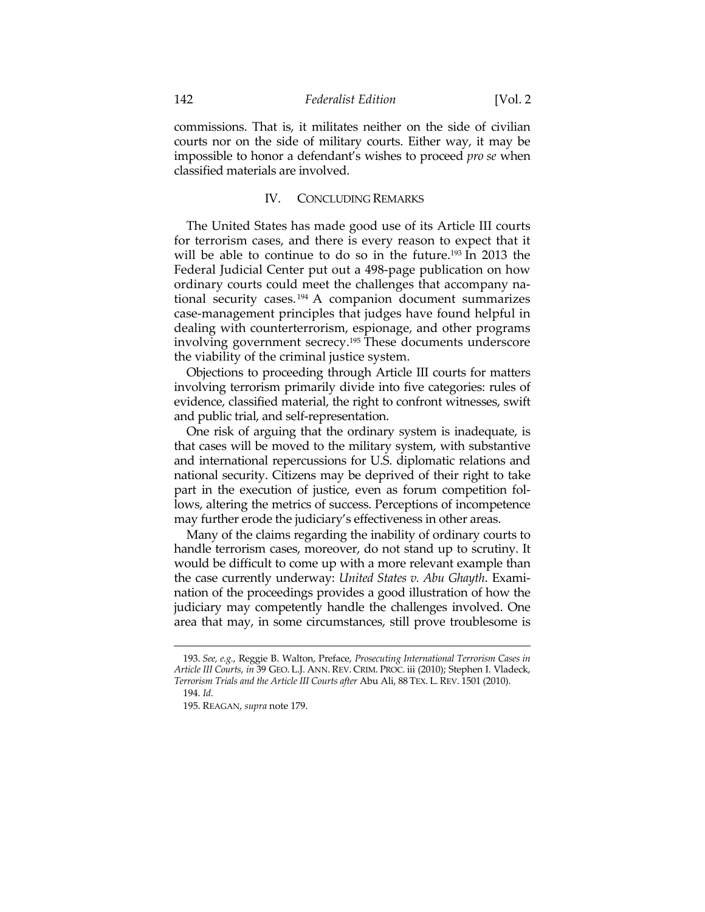commissions. That is, it militates neither on the side of civilian courts nor on the side of military courts. Either way, it may be impossible to honor a defendant's wishes to proceed *pro se* when classified materials are involved.

# IV. CONCLUDING REMARKS

The United States has made good use of its Article III courts for terrorism cases, and there is every reason to expect that it will be able to continue to do so in the future.<sup>193</sup> In 2013 the Federal Judicial Center put out a 498-page publication on how ordinary courts could meet the challenges that accompany national security cases. 194 A companion document summarizes case-management principles that judges have found helpful in dealing with counterterrorism, espionage, and other programs involving government secrecy.195 These documents underscore the viability of the criminal justice system.

Objections to proceeding through Article III courts for matters involving terrorism primarily divide into five categories: rules of evidence, classified material, the right to confront witnesses, swift and public trial, and self-representation.

One risk of arguing that the ordinary system is inadequate, is that cases will be moved to the military system, with substantive and international repercussions for U.S. diplomatic relations and national security. Citizens may be deprived of their right to take part in the execution of justice, even as forum competition follows, altering the metrics of success. Perceptions of incompetence may further erode the judiciary's effectiveness in other areas.

Many of the claims regarding the inability of ordinary courts to handle terrorism cases, moreover, do not stand up to scrutiny. It would be difficult to come up with a more relevant example than the case currently underway: *United States v. Abu Ghayth*. Examination of the proceedings provides a good illustration of how the judiciary may competently handle the challenges involved. One area that may, in some circumstances, still prove troublesome is

 <sup>193.</sup> *See, e.g.*, Reggie B. Walton, Preface, *Prosecuting International Terrorism Cases in Article III Courts*, *in* 39 GEO. L.J. ANN. REV. CRIM. PROC. iii (2010); Stephen I. Vladeck, *Terrorism Trials and the Article III Courts after* Abu Ali, 88 TEX. L. REV. 1501 (2010). 194. *Id.*

 <sup>195.</sup> REAGAN, *supra* note 179.